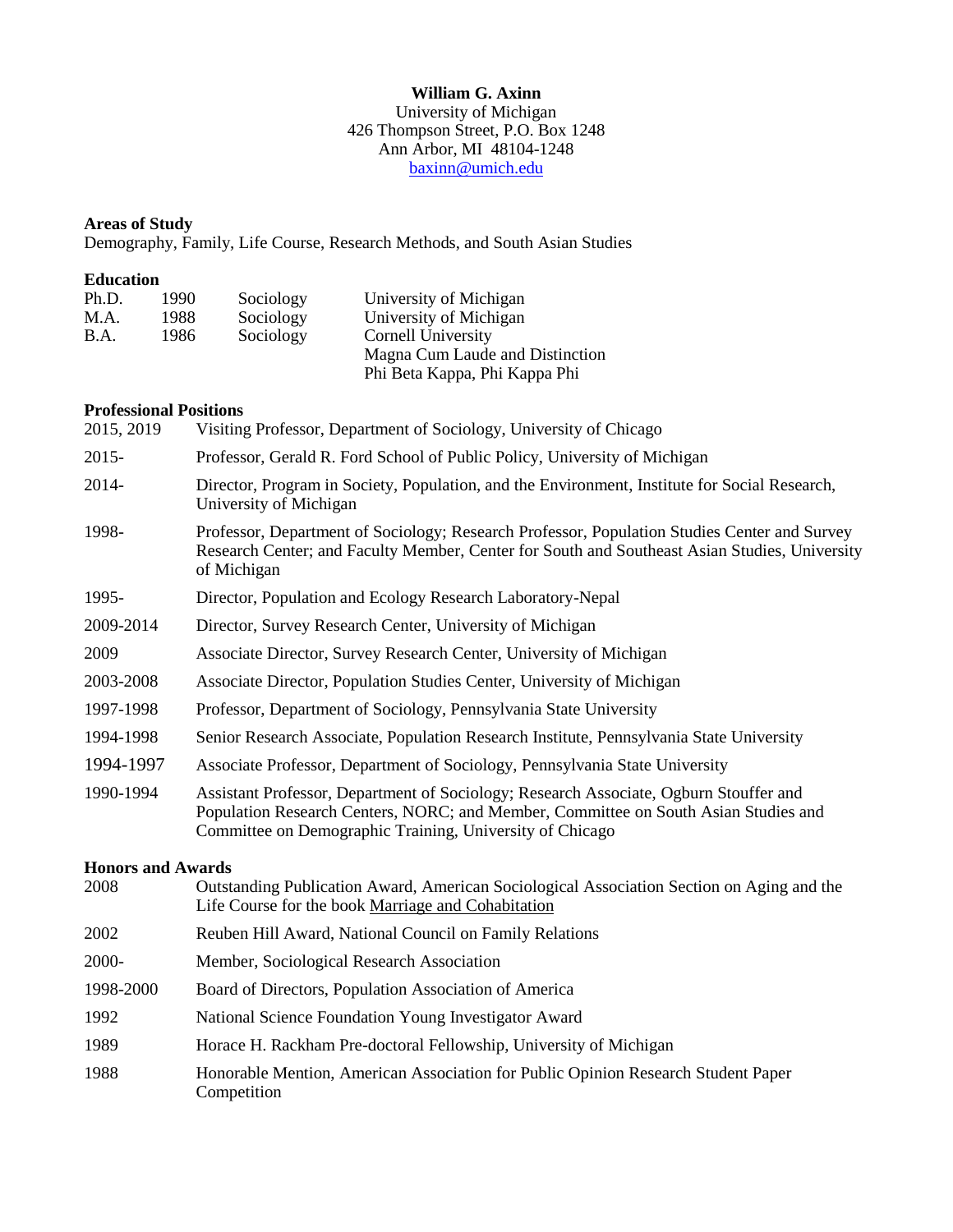#### **William G. Axinn** University of Michigan 426 Thompson Street, P.O. Box 1248 Ann Arbor, MI 48104-1248 [baxinn@umich.edu](mailto:baxinn@umich.edu)

# **Areas of Study**

Demography, Family, Life Course, Research Methods, and South Asian Studies

## **Education**

| Ph.D. | 1990. | Sociology | University of Michigan          |
|-------|-------|-----------|---------------------------------|
| M.A.  | 1988. | Sociology | University of Michigan          |
| B.A.  | 1986  | Sociology | Cornell University              |
|       |       |           | Magna Cum Laude and Distinction |
|       |       |           | Phi Beta Kappa, Phi Kappa Phi   |

## **Professional Positions**

| Visiting Professor, Department of Sociology, University of Chicago                                                                                                                                                                       |
|------------------------------------------------------------------------------------------------------------------------------------------------------------------------------------------------------------------------------------------|
| Professor, Gerald R. Ford School of Public Policy, University of Michigan                                                                                                                                                                |
| Director, Program in Society, Population, and the Environment, Institute for Social Research,<br>University of Michigan                                                                                                                  |
| Professor, Department of Sociology; Research Professor, Population Studies Center and Survey<br>Research Center; and Faculty Member, Center for South and Southeast Asian Studies, University<br>of Michigan                             |
| Director, Population and Ecology Research Laboratory-Nepal                                                                                                                                                                               |
| Director, Survey Research Center, University of Michigan                                                                                                                                                                                 |
| Associate Director, Survey Research Center, University of Michigan                                                                                                                                                                       |
| Associate Director, Population Studies Center, University of Michigan                                                                                                                                                                    |
| Professor, Department of Sociology, Pennsylvania State University                                                                                                                                                                        |
| Senior Research Associate, Population Research Institute, Pennsylvania State University                                                                                                                                                  |
| Associate Professor, Department of Sociology, Pennsylvania State University                                                                                                                                                              |
| Assistant Professor, Department of Sociology; Research Associate, Ogburn Stouffer and<br>Population Research Centers, NORC; and Member, Committee on South Asian Studies and<br>Committee on Demographic Training, University of Chicago |
| <b>Honors and Awards</b>                                                                                                                                                                                                                 |
| Outstanding Publication Award, American Sociological Association Section on Aging and the<br>Life Course for the book Marriage and Cohabitation                                                                                          |
| Reuben Hill Award, National Council on Family Relations                                                                                                                                                                                  |
| Member, Sociological Research Association                                                                                                                                                                                                |
| Board of Directors, Population Association of America                                                                                                                                                                                    |
| National Science Foundation Young Investigator Award                                                                                                                                                                                     |
| Horace H. Rackham Pre-doctoral Fellowship, University of Michigan                                                                                                                                                                        |
| Honorable Mention, American Association for Public Opinion Research Student Paper<br>Competition                                                                                                                                         |
|                                                                                                                                                                                                                                          |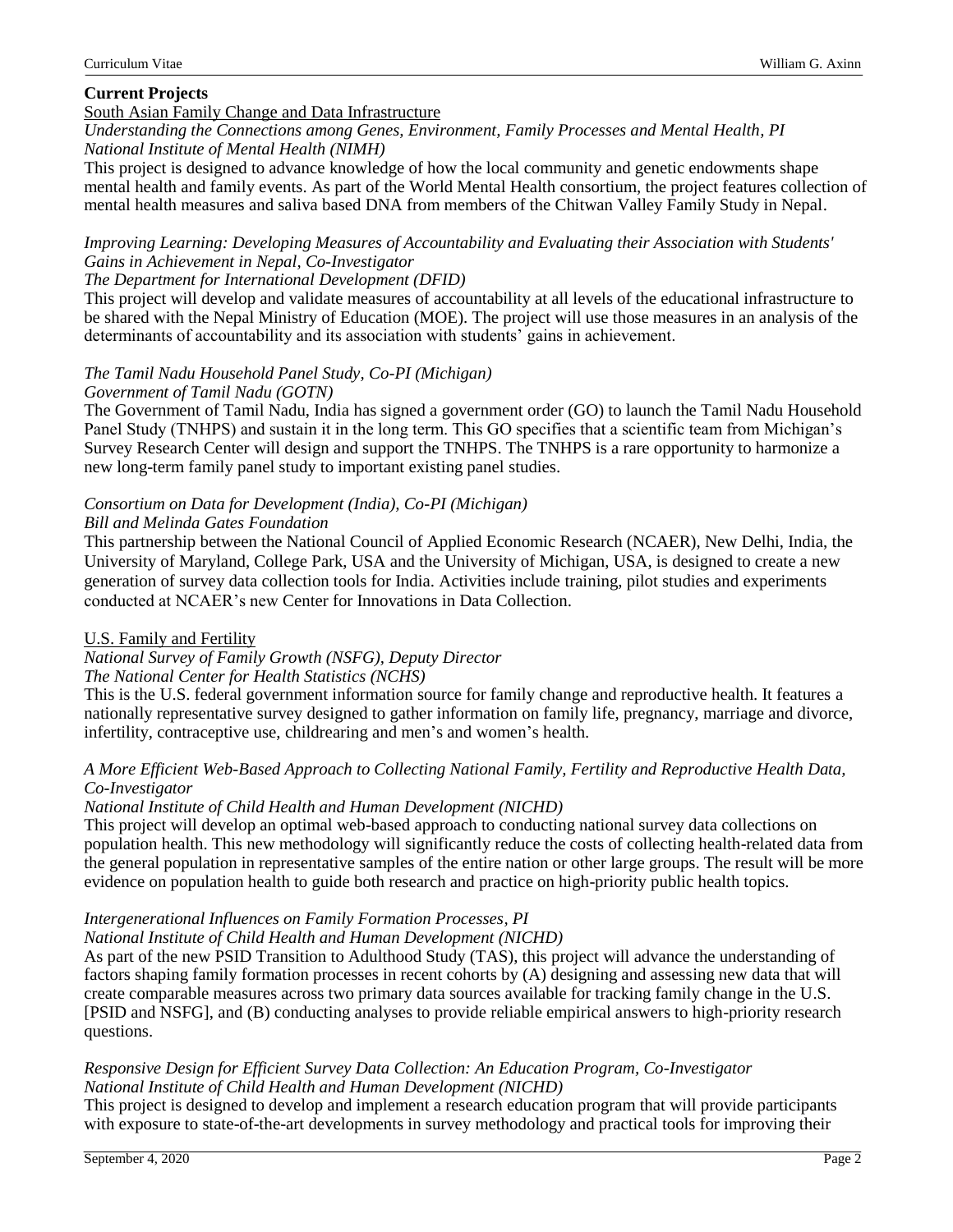## **Current Projects**

## South Asian Family Change and Data Infrastructure

*Understanding the Connections among Genes, Environment, Family Processes and Mental Health, PI National Institute of Mental Health (NIMH)*

This project is designed to advance knowledge of how the local community and genetic endowments shape mental health and family events. As part of the World Mental Health consortium, the project features collection of mental health measures and saliva based DNA from members of the Chitwan Valley Family Study in Nepal.

#### *Improving Learning: Developing Measures of Accountability and Evaluating their Association with Students' Gains in Achievement in Nepal, Co-Investigator*

#### *The Department for International Development (DFID)*

This project will develop and validate measures of accountability at all levels of the educational infrastructure to be shared with the Nepal Ministry of Education (MOE). The project will use those measures in an analysis of the determinants of accountability and its association with students' gains in achievement.

# *The Tamil Nadu Household Panel Study, Co-PI (Michigan)*

## *Government of Tamil Nadu (GOTN)*

The Government of Tamil Nadu, India has signed a government order (GO) to launch the Tamil Nadu Household Panel Study (TNHPS) and sustain it in the long term. This GO specifies that a scientific team from Michigan's Survey Research Center will design and support the TNHPS. The TNHPS is a rare opportunity to harmonize a new long-term family panel study to important existing panel studies.

# *Consortium on Data for Development (India), Co-PI (Michigan)*

## *Bill and Melinda Gates Foundation*

This partnership between the National Council of Applied Economic Research (NCAER), New Delhi, India, the University of Maryland, College Park, USA and the University of Michigan, USA, is designed to create a new generation of survey data collection tools for India. Activities include training, pilot studies and experiments conducted at NCAER's new Center for Innovations in Data Collection.

## U.S. Family and Fertility

*National Survey of Family Growth (NSFG), Deputy Director*

# *The National Center for Health Statistics (NCHS)*

This is the U.S. federal government information source for family change and reproductive health. It features a nationally representative survey designed to gather information on family life, pregnancy, marriage and divorce, infertility, contraceptive use, childrearing and men's and women's health.

# *A More Efficient Web-Based Approach to Collecting National Family, Fertility and Reproductive Health Data, Co-Investigator*

## *National Institute of Child Health and Human Development (NICHD)*

This project will develop an optimal web-based approach to conducting national survey data collections on population health. This new methodology will significantly reduce the costs of collecting health-related data from the general population in representative samples of the entire nation or other large groups. The result will be more evidence on population health to guide both research and practice on high-priority public health topics.

#### *Intergenerational Influences on Family Formation Processes, PI National Institute of Child Health and Human Development (NICHD)*

As part of the new PSID Transition to Adulthood Study (TAS), this project will advance the understanding of factors shaping family formation processes in recent cohorts by (A) designing and assessing new data that will create comparable measures across two primary data sources available for tracking family change in the U.S. [PSID and NSFG], and (B) conducting analyses to provide reliable empirical answers to high-priority research questions.

## *Responsive Design for Efficient Survey Data Collection: An Education Program, Co-Investigator National Institute of Child Health and Human Development (NICHD)*

This project is designed to develop and implement a research education program that will provide participants with exposure to state-of-the-art developments in survey methodology and practical tools for improving their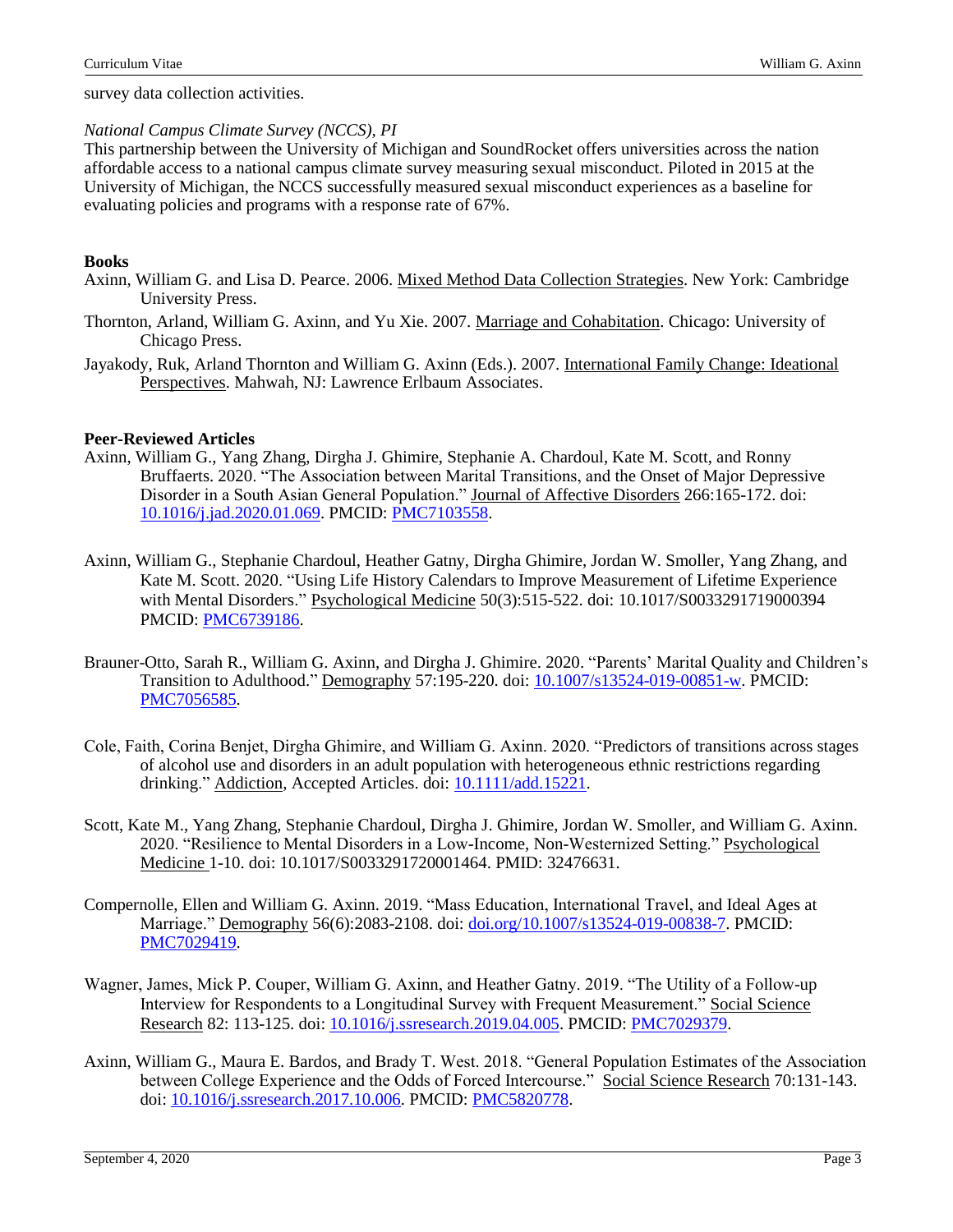survey data collection activities.

#### *National Campus Climate Survey (NCCS), PI*

This partnership between the University of Michigan and SoundRocket offers universities across the nation affordable access to a national campus climate survey measuring sexual misconduct. Piloted in 2015 at the University of Michigan, the NCCS successfully measured sexual misconduct experiences as a baseline for evaluating policies and programs with a response rate of 67%.

## **Books**

- Axinn, William G. and Lisa D. Pearce. 2006. Mixed Method Data Collection Strategies. New York: Cambridge University Press.
- Thornton, Arland, William G. Axinn, and Yu Xie. 2007. Marriage and Cohabitation. Chicago: University of Chicago Press.
- Jayakody, Ruk, Arland Thornton and William G. Axinn (Eds.). 2007. International Family Change: Ideational Perspectives. Mahwah, NJ: Lawrence Erlbaum Associates.

#### **Peer-Reviewed Articles**

- Axinn, William G., Yang Zhang, Dirgha J. Ghimire, Stephanie A. Chardoul, Kate M. Scott, and Ronny Bruffaerts. 2020. "The Association between Marital Transitions, and the Onset of Major Depressive Disorder in a South Asian General Population." Journal of Affective Disorders 266:165-172. doi: [10.1016/j.jad.2020.01.069.](https://doi.org/10.1016/j.jad.2020.01.069) PMCID: [PMC7103558.](https://www.ncbi.nlm.nih.gov/pmc/articles/PMC7103558/)
- Axinn, William G., Stephanie Chardoul, Heather Gatny, Dirgha Ghimire, Jordan W. Smoller, Yang Zhang, and Kate M. Scott. 2020. "Using Life History Calendars to Improve Measurement of Lifetime Experience with Mental Disorders." Psychological Medicine 50(3):515-522. doi: 10.1017/S0033291719000394 PMCID: [PMC6739186.](https://www.ncbi.nlm.nih.gov/pmc/articles/PMC6739186/)
- Brauner-Otto, Sarah R., William G. Axinn, and Dirgha J. Ghimire. 2020. "Parents' Marital Quality and Children's Transition to Adulthood." Demography 57:195-220. doi: [10.1007/s13524-019-00851-w.](https://doi.org/10.1007/s13524-019-00851-w) PMCID: [PMC7056585.](https://www.ncbi.nlm.nih.gov/pmc/articles/PMC7056585/)
- Cole, Faith, Corina Benjet, Dirgha Ghimire, and William G. Axinn. 2020. "Predictors of transitions across stages of alcohol use and disorders in an adult population with heterogeneous ethnic restrictions regarding drinking." Addiction, Accepted Articles. doi: [10.1111/add.15221.](https://doi.org/10.1111/add.15221)
- Scott, Kate M., Yang Zhang, Stephanie Chardoul, Dirgha J. Ghimire, Jordan W. Smoller, and William G. Axinn. 2020. "Resilience to Mental Disorders in a Low-Income, Non-Westernized Setting." Psychological Medicine 1-10. doi: 10.1017/S0033291720001464. PMID: 32476631.
- Compernolle, Ellen and William G. Axinn. 2019. "Mass Education, International Travel, and Ideal Ages at Marriage." Demography 56(6):2083-2108. doi: [doi.org/10.1007/s13524-019-00838-7.](https://doi.org/10.1007/s13524-019-00838-7) PMCID: [PMC7029419.](https://www.ncbi.nlm.nih.gov/pmc/articles/PMC7029419/)
- Wagner, James, Mick P. Couper, William G. Axinn, and Heather Gatny. 2019. "The Utility of a Follow-up Interview for Respondents to a Longitudinal Survey with Frequent Measurement." Social Science Research 82: 113-125. doi: [10.1016/j.ssresearch.2019.04.005.](https://doi.org/10.1016/j.ssresearch.2019.04.005) PMCID: [PMC7029379.](https://www.ncbi.nlm.nih.gov/pmc/articles/PMC7029379/)
- Axinn, William G., Maura E. Bardos, and Brady T. West. 2018. "General Population Estimates of the Association between College Experience and the Odds of Forced Intercourse." Social Science Research 70:131-143. doi: [10.1016/j.ssresearch.2017.10.006.](https://doi.org/10.1016/j.ssresearch.2017.10.006) PMCID: [PMC5820778.](https://www.ncbi.nlm.nih.gov/pmc/articles/PMC5820778/)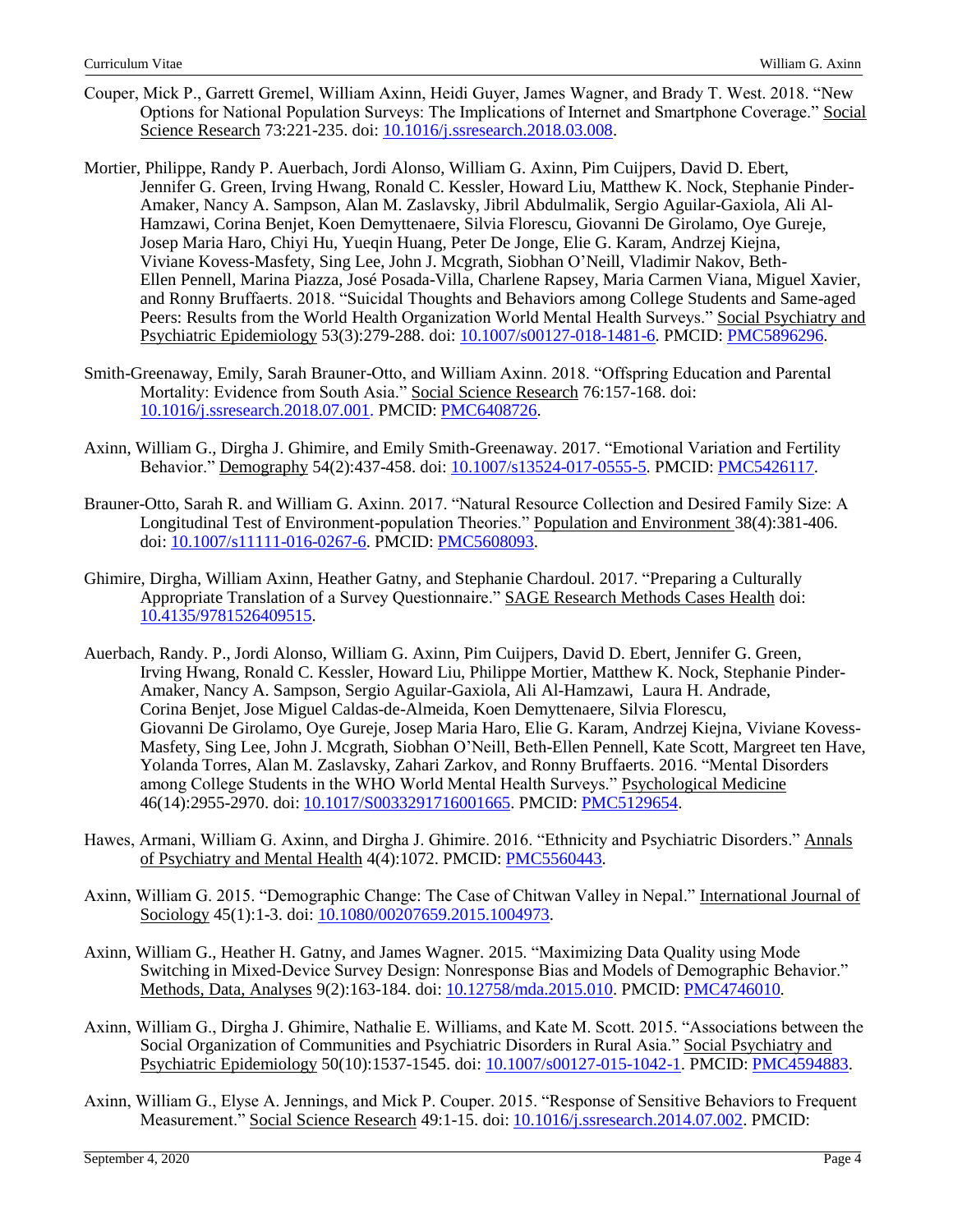- Couper, Mick P., Garrett Gremel, William Axinn, Heidi Guyer, James Wagner, and Brady T. West. 2018. "New Options for National Population Surveys: The Implications of Internet and Smartphone Coverage." Social Science Research 73:221-235. doi: [10.1016/j.ssresearch.2018.03.008.](https://doi.org/10.1016/j.ssresearch.2018.03.008)
- Mortier, Philippe, Randy P. Auerbach, Jordi Alonso, William G. Axinn, Pim Cuijpers, David D. Ebert, Jennifer G. Green, Irving Hwang, Ronald C. Kessler, Howard Liu, Matthew K. Nock, Stephanie Pinder-Amaker, Nancy A. Sampson, Alan M. Zaslavsky, Jibril Abdulmalik, Sergio Aguilar-Gaxiola, Ali Al-Hamzawi, Corina Benjet, Koen Demyttenaere, Silvia Florescu, Giovanni De Girolamo, Oye Gureje, Josep Maria Haro, Chiyi Hu, Yueqin Huang, Peter De Jonge, Elie G. Karam, Andrzej Kiejna, Viviane Kovess-Masfety, Sing Lee, John J. Mcgrath, Siobhan O'Neill, Vladimir Nakov, Beth-Ellen Pennell, Marina Piazza, José Posada-Villa, Charlene Rapsey, Maria Carmen Viana, Miguel Xavier, and Ronny Bruffaerts. 2018. "Suicidal Thoughts and Behaviors among College Students and Same-aged Peers: Results from the World Health Organization World Mental Health Surveys." Social Psychiatry and Psychiatric Epidemiology 53(3):279-288. doi: [10.1007/s00127-018-1481-6.](https://doi.org/10.1007/s00127-018-1481-6) PMCID: [PMC5896296.](https://www.ncbi.nlm.nih.gov/pmc/articles/PMC5896296/)
- Smith-Greenaway, Emily, Sarah Brauner-Otto, and William Axinn. 2018. "Offspring Education and Parental Mortality: Evidence from South Asia." Social Science Research 76:157-168. doi: [10.1016/j.ssresearch.2018.07.001.](https://doi.org/10.1016/j.ssresearch.2018.07.001) PMCID: [PMC6408726.](https://www.ncbi.nlm.nih.gov/pmc/articles/PMC6408726/)
- Axinn, William G., Dirgha J. Ghimire, and Emily Smith-Greenaway. 2017. "Emotional Variation and Fertility Behavior." Demography 54(2):437-458. doi: [10.1007/s13524-017-0555-5.](https://doi.org/10.1007/s13524-017-0555-5) PMCID: [PMC5426117.](https://www.ncbi.nlm.nih.gov/pmc/articles/PMC5426117/)
- Brauner-Otto, Sarah R. and William G. Axinn. 2017. "Natural Resource Collection and Desired Family Size: A Longitudinal Test of Environment-population Theories." Population and Environment 38(4):381-406. doi: [10.1007/s11111-016-0267-6.](https://link.springer.com/article/10.1007/s11111-016-0267-6#aboutcontent) PMCID: [PMC5608093.](https://www.ncbi.nlm.nih.gov/pmc/articles/PMC5608093/)
- Ghimire, Dirgha, William Axinn, Heather Gatny, and Stephanie Chardoul. 2017. "Preparing a Culturally Appropriate Translation of a Survey Questionnaire." SAGE Research Methods Cases Health doi: [10.4135/9781526409515.](http://dx.doi.org/10.4135/9781526409515)
- Auerbach, Randy. P., Jordi Alonso, William G. Axinn, Pim Cuijpers, David D. Ebert, Jennifer G. Green, Irving Hwang, Ronald C. Kessler, Howard Liu, Philippe Mortier, Matthew K. Nock, Stephanie Pinder-Amaker, Nancy A. Sampson, Sergio Aguilar-Gaxiola, Ali Al-Hamzawi, Laura H. Andrade, Corina Benjet, Jose Miguel Caldas-de-Almeida, Koen Demyttenaere, Silvia Florescu, Giovanni De Girolamo, Oye Gureje, Josep Maria Haro, Elie G. Karam, Andrzej Kiejna, Viviane Kovess-Masfety, Sing Lee, John J. Mcgrath, Siobhan O'Neill, Beth-Ellen Pennell, Kate Scott, Margreet ten Have, Yolanda Torres, Alan M. Zaslavsky, Zahari Zarkov, and Ronny Bruffaerts. 2016. "Mental Disorders among College Students in the WHO World Mental Health Surveys." Psychological Medicine 46(14):2955-2970. doi: [10.1017/S0033291716001665.](https://doi.org/10.1017/S0033291716001665) PMCID: [PMC5129654.](https://www.ncbi.nlm.nih.gov/pmc/articles/PMC5129654/)
- Hawes, Armani, William G. Axinn, and Dirgha J. Ghimire. 2016. "Ethnicity and Psychiatric Disorders." Annals of Psychiatry and Mental Health 4(4):1072. PMCID: [PMC5560443.](https://www.ncbi.nlm.nih.gov/pmc/articles/PMC5560443/)
- Axinn, William G. 2015. "Demographic Change: The Case of Chitwan Valley in Nepal." International Journal of Sociology 45(1):1-3. doi: [10.1080/00207659.2015.1004973.](https://doi.org/10.1080/00207659.2015.1004973)
- Axinn, William G., Heather H. Gatny, and James Wagner. 2015. "Maximizing Data Quality using Mode Switching in Mixed-Device Survey Design: Nonresponse Bias and Models of Demographic Behavior." Methods, Data, Analyses 9(2):163-184. doi: [10.12758/mda.2015.010.](https://doi.org/10.12758/mda.2015.010) PMCID: [PMC4746010.](https://www.ncbi.nlm.nih.gov/pmc/articles/PMC4746010/)
- Axinn, William G., Dirgha J. Ghimire, Nathalie E. Williams, and Kate M. Scott. 2015. "Associations between the Social Organization of Communities and Psychiatric Disorders in Rural Asia." Social Psychiatry and Psychiatric Epidemiology 50(10):1537-1545. doi: [10.1007/s00127-015-1042-1.](https://doi.org/10.1007/s00127-015-1042-1) PMCID: [PMC4594883.](https://www.ncbi.nlm.nih.gov/pmc/articles/PMC4594883/)
- Axinn, William G., Elyse A. Jennings, and Mick P. Couper. 2015. "Response of Sensitive Behaviors to Frequent Measurement." Social Science Research 49:1-15. doi: [10.1016/j.ssresearch.2014.07.002.](https://doi.org/10.1016/j.ssresearch.2014.07.002) PMCID: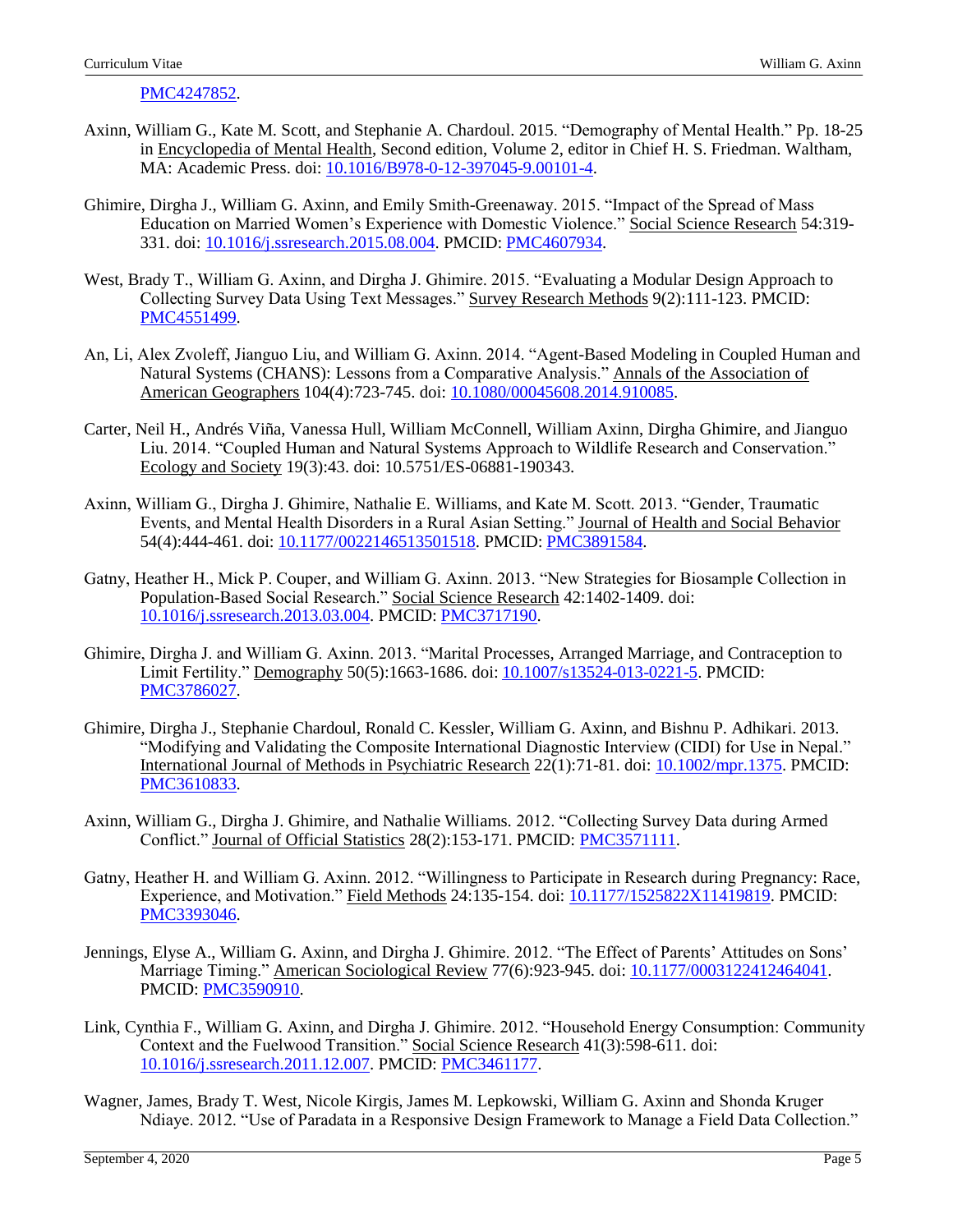[PMC4247852.](https://www.ncbi.nlm.nih.gov/pmc/articles/PMC4247852/)

- Axinn, William G., Kate M. Scott, and Stephanie A. Chardoul. 2015. "Demography of Mental Health." Pp. 18-25 in Encyclopedia of Mental Health, Second edition, Volume 2, editor in Chief H. S. Friedman. Waltham, MA: Academic Press. doi: [10.1016/B978-0-12-397045-9.00101-4.](https://doi.org/10.1016/B978-0-12-397045-9.00101-4)
- Ghimire, Dirgha J., William G. Axinn, and Emily Smith-Greenaway. 2015. "Impact of the Spread of Mass Education on Married Women's Experience with Domestic Violence." Social Science Research 54:319- 331. doi: [10.1016/j.ssresearch.2015.08.004.](https://doi.org/10.1016/j.ssresearch.2015.08.004) PMCID: [PMC4607934.](https://www.ncbi.nlm.nih.gov/pmc/articles/PMC4607934/)
- West, Brady T., William G. Axinn, and Dirgha J. Ghimire. 2015. "Evaluating a Modular Design Approach to Collecting Survey Data Using Text Messages." Survey Research Methods 9(2):111-123. PMCID: [PMC4551499.](https://www.ncbi.nlm.nih.gov/pmc/articles/PMC4551499/)
- An, Li, Alex Zvoleff, Jianguo Liu, and William G. Axinn. 2014. "Agent-Based Modeling in Coupled Human and Natural Systems (CHANS): Lessons from a Comparative Analysis." Annals of the Association of American Geographers 104(4):723-745. doi: [10.1080/00045608.2014.910085.](http://dx.doi.org/10.1080/00045608.2014.910085)
- Carter, Neil H., Andrés Viña, Vanessa Hull, William McConnell, William Axinn, Dirgha Ghimire, and Jianguo Liu. 2014. "Coupled Human and Natural Systems Approach to Wildlife Research and Conservation." Ecology and Society 19(3):43. doi: 10.5751/ES-06881-190343.
- Axinn, William G., Dirgha J. Ghimire, Nathalie E. Williams, and Kate M. Scott. 2013. "Gender, Traumatic Events, and Mental Health Disorders in a Rural Asian Setting." Journal of Health and Social Behavior 54(4):444-461. doi: [10.1177/0022146513501518.](https://doi.org/10.1177/0022146513501518) PMCID: [PMC3891584.](https://www.ncbi.nlm.nih.gov/pmc/articles/PMC3891584/)
- Gatny, Heather H., Mick P. Couper, and William G. Axinn. 2013. "New Strategies for Biosample Collection in Population-Based Social Research." Social Science Research 42:1402-1409. doi: [10.1016/j.ssresearch.2013.03.004.](https://doi.org/10.1016/j.ssresearch.2013.03.004) PMCID: [PMC3717190.](https://www.ncbi.nlm.nih.gov/pmc/articles/PMC3717190/)
- Ghimire, Dirgha J. and William G. Axinn. 2013. "Marital Processes, Arranged Marriage, and Contraception to Limit Fertility." Demography 50(5):1663-1686. doi: [10.1007/s13524-013-0221-5.](https://doi.org/10.1007/s13524-013-0221-5) PMCID: [PMC3786027.](https://www.ncbi.nlm.nih.gov/pmc/articles/PMC3786027/)
- Ghimire, Dirgha J., Stephanie Chardoul, Ronald C. Kessler, William G. Axinn, and Bishnu P. Adhikari. 2013. "Modifying and Validating the Composite International Diagnostic Interview (CIDI) for Use in Nepal." International Journal of Methods in Psychiatric Research 22(1):71-81. doi: [10.1002/mpr.1375.](https://doi.org/10.1002/mpr.1375) PMCID: [PMC3610833.](https://www.ncbi.nlm.nih.gov/pmc/articles/PMC3610833/)
- Axinn, William G., Dirgha J. Ghimire, and Nathalie Williams. 2012. "Collecting Survey Data during Armed Conflict." Journal of Official Statistics 28(2):153-171. PMCID: [PMC3571111.](https://www.ncbi.nlm.nih.gov/pmc/articles/PMC3571111/)
- Gatny, Heather H. and William G. Axinn. 2012. "Willingness to Participate in Research during Pregnancy: Race, Experience, and Motivation." Field Methods 24:135-154. doi[: 10.1177/1525822X11419819.](https://doi.org/10.1177/1525822X11419819) PMCID: [PMC3393046.](https://www.ncbi.nlm.nih.gov/pmc/articles/PMC3393046/)
- Jennings, Elyse A., William G. Axinn, and Dirgha J. Ghimire. 2012. "The Effect of Parents' Attitudes on Sons' Marriage Timing." American Sociological Review 77(6):923-945. doi: [10.1177/0003122412464041.](https://doi.org/10.1177/0003122412464041) PMCID: [PMC3590910.](https://www.ncbi.nlm.nih.gov/pmc/articles/PMC3590910/)
- Link, Cynthia F., William G. Axinn, and Dirgha J. Ghimire. 2012. "Household Energy Consumption: Community Context and the Fuelwood Transition." Social Science Research 41(3):598-611. doi: [10.1016/j.ssresearch.2011.12.007.](https://doi.org/10.1016/j.ssresearch.2011.12.007) PMCID: [PMC3461177.](https://www.ncbi.nlm.nih.gov/pmc/articles/PMC3461177/)
- Wagner, James, Brady T. West, Nicole Kirgis, James M. Lepkowski, William G. Axinn and Shonda Kruger Ndiaye. 2012. "Use of Paradata in a Responsive Design Framework to Manage a Field Data Collection."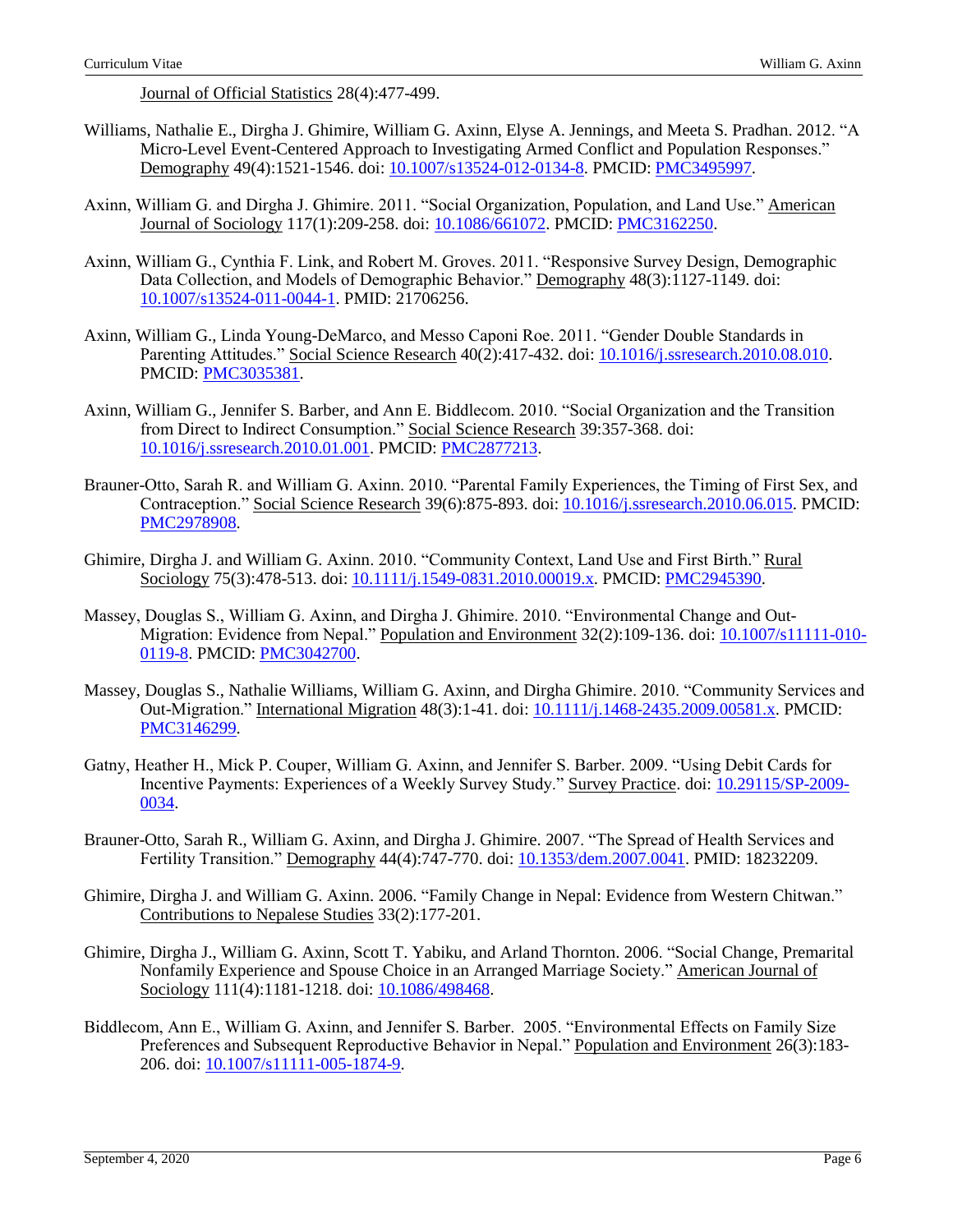Journal of Official Statistics 28(4):477-499.

- Williams, Nathalie E., Dirgha J. Ghimire, William G. Axinn, Elyse A. Jennings, and Meeta S. Pradhan. 2012. "A Micro-Level Event-Centered Approach to Investigating Armed Conflict and Population Responses." Demography 49(4):1521-1546. doi: [10.1007/s13524-012-0134-8.](https://doi.org/10.1007/s13524-012-0134-8) PMCID: [PMC3495997.](https://www.ncbi.nlm.nih.gov/pmc/articles/PMC3495997/)
- Axinn, William G. and Dirgha J. Ghimire. 2011. "Social Organization, Population, and Land Use." American Journal of Sociology 117(1):209-258. doi: [10.1086/661072.](https://dx.doi.org/10.1086%2F661072) PMCID: [PMC3162250.](https://www.ncbi.nlm.nih.gov/pmc/articles/PMC3162250/)
- Axinn, William G., Cynthia F. Link, and Robert M. Groves. 2011. "Responsive Survey Design, Demographic Data Collection, and Models of Demographic Behavior." Demography 48(3):1127-1149. doi: [10.1007/s13524-011-0044-1.](https://doi.org/10.1007/s13524-011-0044-1) PMID: 21706256.
- Axinn, William G., Linda Young-DeMarco, and Messo Caponi Roe. 2011. "Gender Double Standards in Parenting Attitudes." Social Science Research 40(2):417-432. doi: [10.1016/j.ssresearch.2010.08.010.](https://doi.org/10.1016/j.ssresearch.2010.08.010) PMCID: [PMC3035381.](https://www.ncbi.nlm.nih.gov/pmc/articles/PMC3035381/)
- Axinn, William G., Jennifer S. Barber, and Ann E. Biddlecom. 2010. "Social Organization and the Transition from Direct to Indirect Consumption." Social Science Research 39:357-368. doi: [10.1016/j.ssresearch.2010.01.001.](https://doi.org/10.1016/j.ssresearch.2010.01.001) PMCID: [PMC2877213.](https://www.ncbi.nlm.nih.gov/pmc/articles/PMC2877213/)
- Brauner-Otto, Sarah R. and William G. Axinn. 2010. "Parental Family Experiences, the Timing of First Sex, and Contraception." Social Science Research 39(6):875-893. doi: [10.1016/j.ssresearch.2010.06.015.](https://doi.org/10.1016/j.ssresearch.2010.06.015) PMCID: [PMC2978908.](https://www.ncbi.nlm.nih.gov/pmc/articles/PMC2978908/)
- Ghimire, Dirgha J. and William G. Axinn. 2010. "Community Context, Land Use and First Birth." Rural Sociology 75(3):478-513. doi: [10.1111/j.1549-0831.2010.00019.x.](https://doi.org/10.1111/j.1549-0831.2010.00019.x) PMCID: [PMC2945390.](https://www.ncbi.nlm.nih.gov/pmc/articles/PMC2945390/)
- Massey, Douglas S., William G. Axinn, and Dirgha J. Ghimire. 2010. "Environmental Change and Out-Migration: Evidence from Nepal." Population and Environment 32(2):109-136. doi: [10.1007/s11111-010-](https://doi.org/10.1007/s11111-010-0119-8) [0119-8.](https://doi.org/10.1007/s11111-010-0119-8) PMCID: [PMC3042700.](https://www.ncbi.nlm.nih.gov/pmc/articles/PMC3042700/)
- Massey, Douglas S., Nathalie Williams, William G. Axinn, and Dirgha Ghimire. 2010. "Community Services and Out-Migration." International Migration 48(3):1-41. doi: [10.1111/j.1468-2435.2009.00581.x.](https://dx.doi.org/10.1111%2Fj.1468-2435.2009.00581.x) PMCID: [PMC3146299.](https://www.ncbi.nlm.nih.gov/pmc/articles/PMC3146299/)
- Gatny, Heather H., Mick P. Couper, William G. Axinn, and Jennifer S. Barber. 2009. "Using Debit Cards for Incentive Payments: Experiences of a Weekly Survey Study." Survey Practice. doi: [10.29115/SP-2009-](https://doi.org/10.29115/SP-2009-0034) [0034.](https://doi.org/10.29115/SP-2009-0034)
- Brauner-Otto, Sarah R., William G. Axinn, and Dirgha J. Ghimire. 2007. "The Spread of Health Services and Fertility Transition." Demography 44(4):747-770. doi: [10.1353/dem.2007.0041.](https://doi.org/10.1353/dem.2007.0041) PMID: 18232209.
- Ghimire, Dirgha J. and William G. Axinn. 2006. "Family Change in Nepal: Evidence from Western Chitwan." Contributions to Nepalese Studies 33(2):177-201.
- Ghimire, Dirgha J., William G. Axinn, Scott T. Yabiku, and Arland Thornton. 2006. "Social Change, Premarital Nonfamily Experience and Spouse Choice in an Arranged Marriage Society." American Journal of Sociology 111(4):1181-1218. doi: [10.1086/498468.](https://doi.org/10.1086/498468)
- Biddlecom, Ann E., William G. Axinn, and Jennifer S. Barber. 2005. "Environmental Effects on Family Size Preferences and Subsequent Reproductive Behavior in Nepal." Population and Environment 26(3):183- 206. doi: [10.1007/s11111-005-1874-9.](https://doi.org/10.1007/s11111-005-1874-9)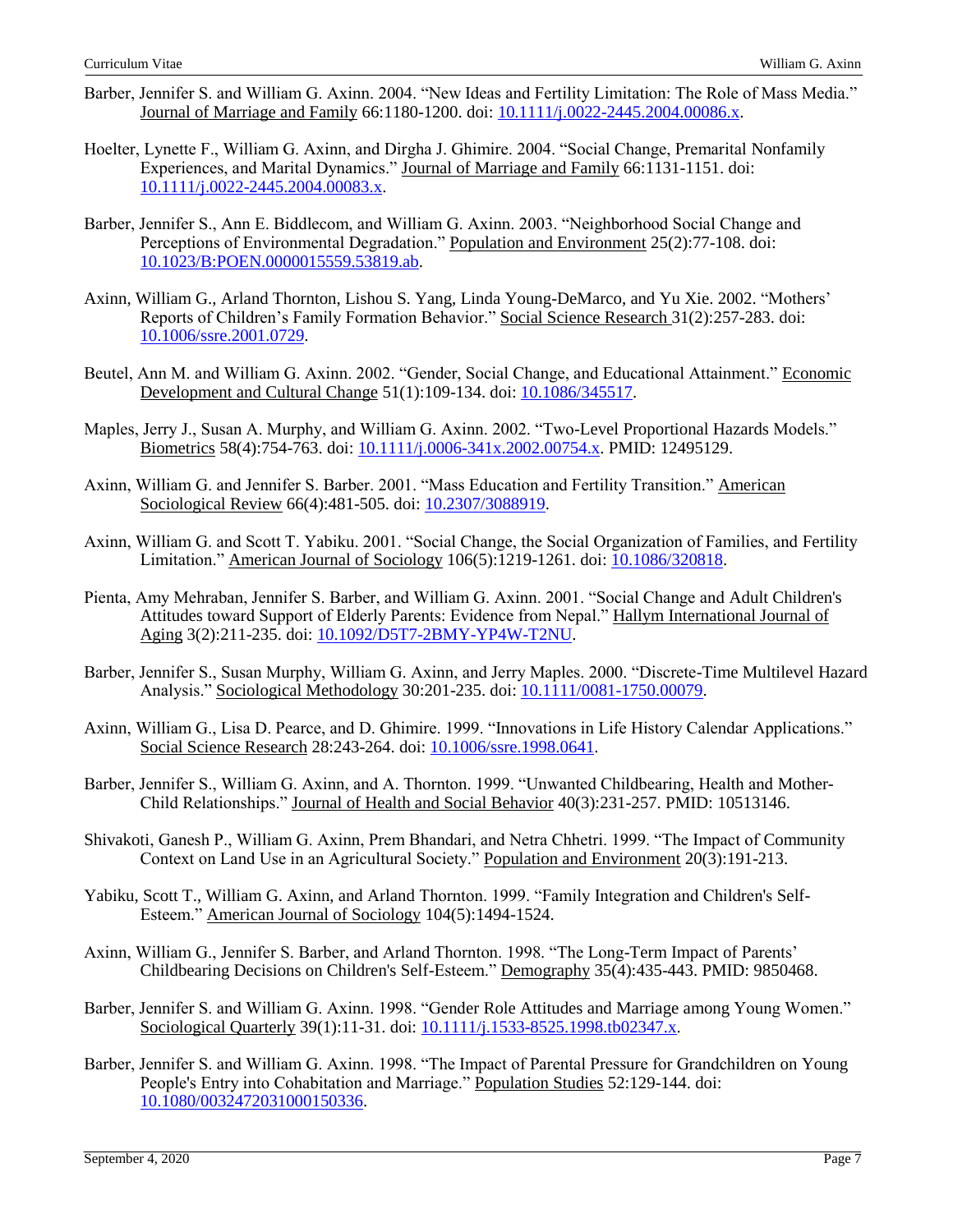- Barber, Jennifer S. and William G. Axinn. 2004. "New Ideas and Fertility Limitation: The Role of Mass Media." Journal of Marriage and Family 66:1180-1200. doi[: 10.1111/j.0022-2445.2004.00086.x.](https://www.researchgate.net/deref/http%3A%2F%2Fdx.doi.org%2F10.1111%2Fj.0022-2445.2004.00086.x)
- Hoelter, Lynette F., William G. Axinn, and Dirgha J. Ghimire. 2004. "Social Change, Premarital Nonfamily Experiences, and Marital Dynamics." Journal of Marriage and Family 66:1131-1151. doi: [10.1111/j.0022-2445.2004.00083.x.](https://www.researchgate.net/deref/http%3A%2F%2Fdx.doi.org%2F10.1111%2Fj.0022-2445.2004.00083.x)
- Barber, Jennifer S., Ann E. Biddlecom, and William G. Axinn. 2003. "Neighborhood Social Change and Perceptions of Environmental Degradation." Population and Environment 25(2):77-108. doi: [10.1023/B:POEN.0000015559.53819.ab.](http://dx.doi.org/10.1023/B:POEN.0000015559.53819.ab)
- Axinn, William G., Arland Thornton, Lishou S. Yang, Linda Young-DeMarco, and Yu Xie. 2002. "Mothers' Reports of Children's Family Formation Behavior." Social Science Research 31(2):257-283. doi: [10.1006/ssre.2001.0729.](https://doi.org/10.1006/ssre.2001.0729)
- Beutel, Ann M. and William G. Axinn. 2002. "Gender, Social Change, and Educational Attainment." Economic Development and Cultural Change 51(1):109-134. doi[: 10.1086/345517.](https://www.researchgate.net/deref/http%3A%2F%2Fdx.doi.org%2F10.1086%2F345517)
- Maples, Jerry J., Susan A. Murphy, and William G. Axinn. 2002. "Two-Level Proportional Hazards Models." Biometrics 58(4):754-763. doi: [10.1111/j.0006-341x.2002.00754.x.](https://doi.org/10.1111/j.0006-341x.2002.00754.x) PMID: 12495129.
- Axinn, William G. and Jennifer S. Barber. 2001. "Mass Education and Fertility Transition." American Sociological Review 66(4):481-505. doi: [10.2307/3088919.](https://www.researchgate.net/deref/http%3A%2F%2Fdx.doi.org%2F10.2307%2F3088919)
- Axinn, William G. and Scott T. Yabiku. 2001. "Social Change, the Social Organization of Families, and Fertility Limitation." American Journal of Sociology 106(5):1219-1261. doi[: 10.1086/320818.](https://doi.org/10.1086/320818)
- Pienta, Amy Mehraban, Jennifer S. Barber, and William G. Axinn. 2001. "Social Change and Adult Children's Attitudes toward Support of Elderly Parents: Evidence from Nepal." Hallym International Journal of Aging 3(2):211-235. doi[: 10.1092/D5T7-2BMY-YP4W-T2NU.](https://www.researchgate.net/deref/http%3A%2F%2Fdx.doi.org%2F10.1092%2FD5T7-2BMY-YP4W-T2NU)
- Barber, Jennifer S., Susan Murphy, William G. Axinn, and Jerry Maples. 2000. "Discrete-Time Multilevel Hazard Analysis." Sociological Methodology 30:201-235. doi[: 10.1111/0081-1750.00079.](https://doi.org/10.1111%2F0081-1750.00079)
- Axinn, William G., Lisa D. Pearce, and D. Ghimire. 1999. "Innovations in Life History Calendar Applications." Social Science Research 28:243-264. doi: [10.1006/ssre.1998.0641.](https://doi.org/10.1006/ssre.1998.0641)
- Barber, Jennifer S., William G. Axinn, and A. Thornton. 1999. "Unwanted Childbearing, Health and Mother-Child Relationships." Journal of Health and Social Behavior 40(3):231-257. PMID: 10513146.
- Shivakoti, Ganesh P., William G. Axinn, Prem Bhandari, and Netra Chhetri. 1999. "The Impact of Community Context on Land Use in an Agricultural Society." Population and Environment 20(3):191-213.
- Yabiku, Scott T., William G. Axinn, and Arland Thornton. 1999. "Family Integration and Children's Self-Esteem." American Journal of Sociology 104(5):1494-1524.
- Axinn, William G., Jennifer S. Barber, and Arland Thornton. 1998. "The Long-Term Impact of Parents' Childbearing Decisions on Children's Self-Esteem." Demography 35(4):435-443. PMID: 9850468.
- Barber, Jennifer S. and William G. Axinn. 1998. "Gender Role Attitudes and Marriage among Young Women." Sociological Quarterly 39(1):11-31. doi: [10.1111/j.1533-8525.1998.tb02347.x.](https://doi.org/10.1111/j.1533-8525.1998.tb02347.x)
- Barber, Jennifer S. and William G. Axinn. 1998. "The Impact of Parental Pressure for Grandchildren on Young People's Entry into Cohabitation and Marriage." Population Studies 52:129-144. doi: [10.1080/0032472031000150336.](https://doi.org/10.1080/0032472031000150336)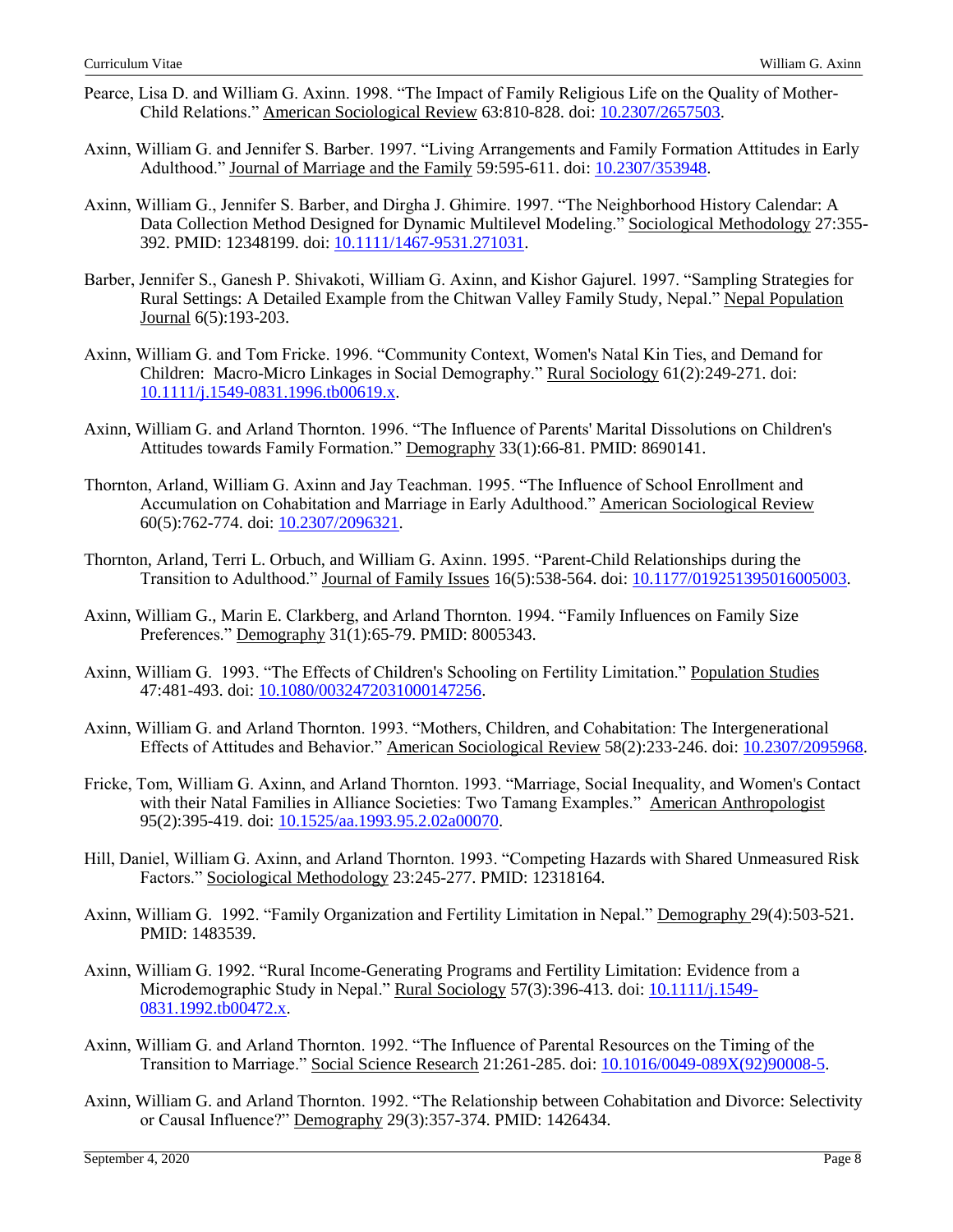- Pearce, Lisa D. and William G. Axinn. 1998. "The Impact of Family Religious Life on the Quality of Mother-Child Relations." American Sociological Review 63:810-828. doi: [10.2307/2657503.](https://psycnet.apa.org/doi/10.2307/2657503)
- Axinn, William G. and Jennifer S. Barber. 1997. "Living Arrangements and Family Formation Attitudes in Early Adulthood." Journal of Marriage and the Family 59:595-611. doi: [10.2307/353948.](https://psycnet.apa.org/doi/10.2307/353948)
- Axinn, William G., Jennifer S. Barber, and Dirgha J. Ghimire. 1997. "The Neighborhood History Calendar: A Data Collection Method Designed for Dynamic Multilevel Modeling." Sociological Methodology 27:355- 392. PMID: 12348199. doi[: 10.1111/1467-9531.271031.](https://doi.org/10.1111%2F1467-9531.271031)
- Barber, Jennifer S., Ganesh P. Shivakoti, William G. Axinn, and Kishor Gajurel. 1997. "Sampling Strategies for Rural Settings: A Detailed Example from the Chitwan Valley Family Study, Nepal." Nepal Population Journal 6(5):193-203.
- Axinn, William G. and Tom Fricke. 1996. "Community Context, Women's Natal Kin Ties, and Demand for Children: Macro-Micro Linkages in Social Demography." Rural Sociology 61(2):249-271. doi: [10.1111/j.1549-0831.1996.tb00619.x.](https://doi.org/10.1111/j.1549-0831.1996.tb00619.x)
- Axinn, William G. and Arland Thornton. 1996. "The Influence of Parents' Marital Dissolutions on Children's Attitudes towards Family Formation." Demography 33(1):66-81. PMID: 8690141.
- Thornton, Arland, William G. Axinn and Jay Teachman. 1995. "The Influence of School Enrollment and Accumulation on Cohabitation and Marriage in Early Adulthood." American Sociological Review 60(5):762-774. doi: [10.2307/2096321.](https://www.researchgate.net/deref/http%3A%2F%2Fdx.doi.org%2F10.2307%2F2096321)
- Thornton, Arland, Terri L. Orbuch, and William G. Axinn. 1995. "Parent-Child Relationships during the Transition to Adulthood." Journal of Family Issues 16(5):538-564. doi: [10.1177/019251395016005003.](http://dx.doi.org/10.1177/019251395016005003)
- Axinn, William G., Marin E. Clarkberg, and Arland Thornton. 1994. "Family Influences on Family Size Preferences." Demography 31(1):65-79. PMID: 8005343.
- Axinn, William G. 1993. "The Effects of Children's Schooling on Fertility Limitation." Population Studies 47:481-493. doi: [10.1080/0032472031000147256.](https://doi.org/10.1080/0032472031000147256)
- Axinn, William G. and Arland Thornton. 1993. "Mothers, Children, and Cohabitation: The Intergenerational Effects of Attitudes and Behavior." American Sociological Review 58(2):233-246. doi: [10.2307/2095968.](https://www.researchgate.net/deref/http%3A%2F%2Fdx.doi.org%2F10.2307%2F2095968)
- Fricke, Tom, William G. Axinn, and Arland Thornton. 1993. "Marriage, Social Inequality, and Women's Contact with their Natal Families in Alliance Societies: Two Tamang Examples." American Anthropologist 95(2):395-419. doi: [10.1525/aa.1993.95.2.02a00070.](https://doi.org/10.1525/aa.1993.95.2.02a00070)
- Hill, Daniel, William G. Axinn, and Arland Thornton. 1993. "Competing Hazards with Shared Unmeasured Risk Factors." Sociological Methodology 23:245-277. PMID: 12318164.
- Axinn, William G. 1992. "Family Organization and Fertility Limitation in Nepal." Demography 29(4):503-521. PMID: 1483539.
- Axinn, William G. 1992. "Rural Income-Generating Programs and Fertility Limitation: Evidence from a Microdemographic Study in Nepal." Rural Sociology 57(3):396-413. doi: [10.1111/j.1549-](https://www.researchgate.net/deref/http%3A%2F%2Fdx.doi.org%2F10.1111%2Fj.1549-0831.1992.tb00472.x) [0831.1992.tb00472.x.](https://www.researchgate.net/deref/http%3A%2F%2Fdx.doi.org%2F10.1111%2Fj.1549-0831.1992.tb00472.x)
- Axinn, William G. and Arland Thornton. 1992. "The Influence of Parental Resources on the Timing of the Transition to Marriage." Social Science Research 21:261-285. doi: [10.1016/0049-089X\(92\)90008-5.](https://doi.org/10.1016/0049-089X(92)90008-5)
- Axinn, William G. and Arland Thornton. 1992. "The Relationship between Cohabitation and Divorce: Selectivity or Causal Influence?" Demography 29(3):357-374. PMID: 1426434.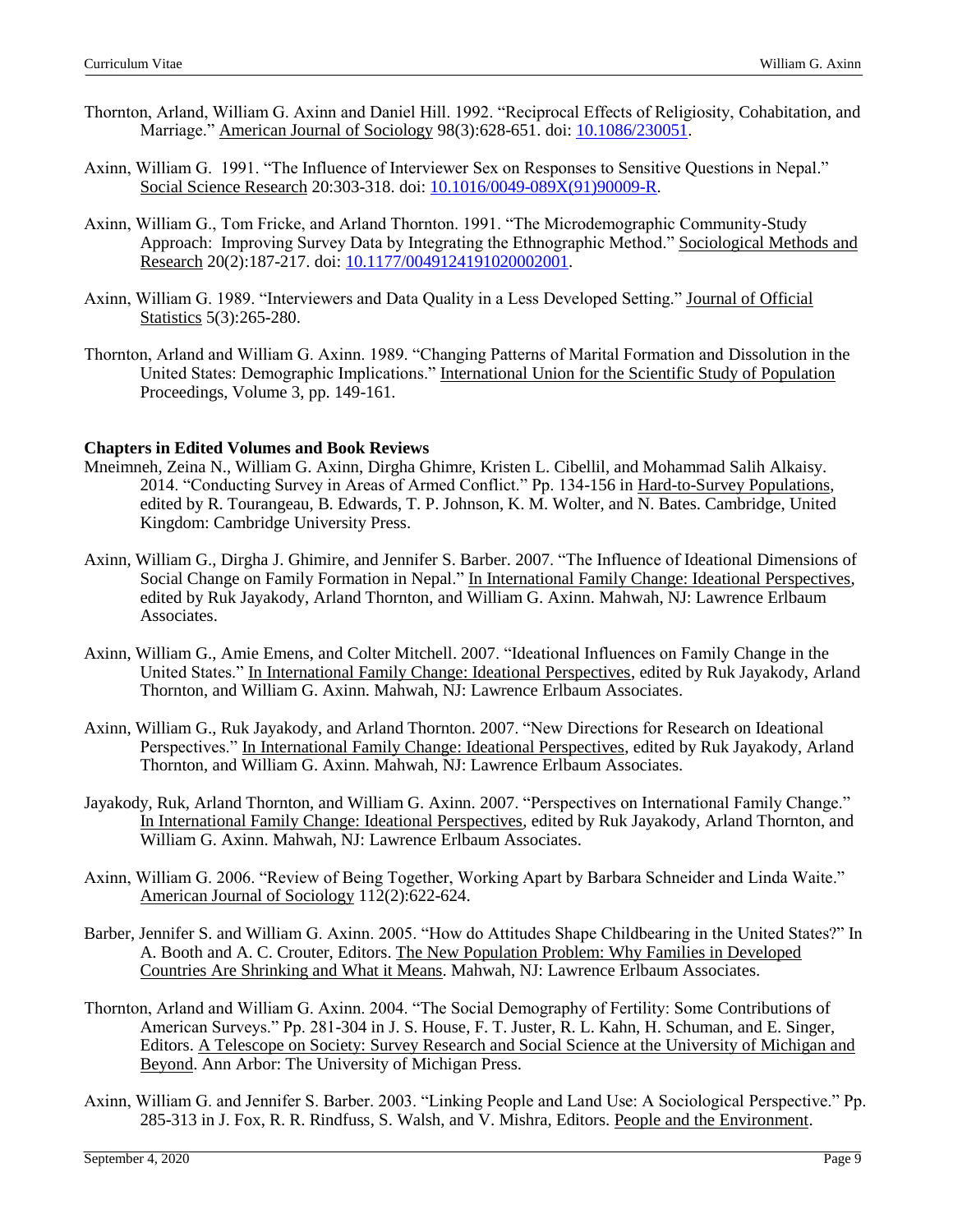- Thornton, Arland, William G. Axinn and Daniel Hill. 1992. "Reciprocal Effects of Religiosity, Cohabitation, and Marriage." American Journal of Sociology 98(3):628-651. doi: [10.1086/230051.](https://psycnet.apa.org/doi/10.1086/230051)
- Axinn, William G. 1991. "The Influence of Interviewer Sex on Responses to Sensitive Questions in Nepal." Social Science Research 20:303-318. doi: [10.1016/0049-089X\(91\)90009-R.](https://doi.org/10.1016/0049-089X(91)90009-R)
- Axinn, William G., Tom Fricke, and Arland Thornton. 1991. "The Microdemographic Community-Study Approach: Improving Survey Data by Integrating the Ethnographic Method." Sociological Methods and Research 20(2):187-217. doi: [10.1177/0049124191020002001.](https://doi.org/10.1177%2F0049124191020002001)
- Axinn, William G. 1989. "Interviewers and Data Quality in a Less Developed Setting." Journal of Official Statistics 5(3):265-280.
- Thornton, Arland and William G. Axinn. 1989. "Changing Patterns of Marital Formation and Dissolution in the United States: Demographic Implications." International Union for the Scientific Study of Population Proceedings, Volume 3, pp. 149-161.

#### **Chapters in Edited Volumes and Book Reviews**

- Mneimneh, Zeina N., William G. Axinn, Dirgha Ghimre, Kristen L. Cibellil, and Mohammad Salih Alkaisy. 2014. "Conducting Survey in Areas of Armed Conflict." Pp. 134-156 in Hard-to-Survey Populations, edited by R. Tourangeau, B. Edwards, T. P. Johnson, K. M. Wolter, and N. Bates. Cambridge, United Kingdom: Cambridge University Press.
- Axinn, William G., Dirgha J. Ghimire, and Jennifer S. Barber. 2007. "The Influence of Ideational Dimensions of Social Change on Family Formation in Nepal." In International Family Change: Ideational Perspectives, edited by Ruk Jayakody, Arland Thornton, and William G. Axinn. Mahwah, NJ: Lawrence Erlbaum Associates.
- Axinn, William G., Amie Emens, and Colter Mitchell. 2007. "Ideational Influences on Family Change in the United States." In International Family Change: Ideational Perspectives, edited by Ruk Jayakody, Arland Thornton, and William G. Axinn. Mahwah, NJ: Lawrence Erlbaum Associates.
- Axinn, William G., Ruk Jayakody, and Arland Thornton. 2007. "New Directions for Research on Ideational Perspectives." In International Family Change: Ideational Perspectives, edited by Ruk Jayakody, Arland Thornton, and William G. Axinn. Mahwah, NJ: Lawrence Erlbaum Associates.
- Jayakody, Ruk, Arland Thornton, and William G. Axinn. 2007. "Perspectives on International Family Change." In International Family Change: Ideational Perspectives, edited by Ruk Jayakody, Arland Thornton, and William G. Axinn. Mahwah, NJ: Lawrence Erlbaum Associates.
- Axinn, William G. 2006. "Review of Being Together, Working Apart by Barbara Schneider and Linda Waite." American Journal of Sociology 112(2):622-624.
- Barber, Jennifer S. and William G. Axinn. 2005. "How do Attitudes Shape Childbearing in the United States?" In A. Booth and A. C. Crouter, Editors. The New Population Problem: Why Families in Developed Countries Are Shrinking and What it Means. Mahwah, NJ: Lawrence Erlbaum Associates.
- Thornton, Arland and William G. Axinn. 2004. "The Social Demography of Fertility: Some Contributions of American Surveys." Pp. 281-304 in J. S. House, F. T. Juster, R. L. Kahn, H. Schuman, and E. Singer, Editors. A Telescope on Society: Survey Research and Social Science at the University of Michigan and Beyond. Ann Arbor: The University of Michigan Press.
- Axinn, William G. and Jennifer S. Barber. 2003. "Linking People and Land Use: A Sociological Perspective." Pp. 285-313 in J. Fox, R. R. Rindfuss, S. Walsh, and V. Mishra, Editors. People and the Environment.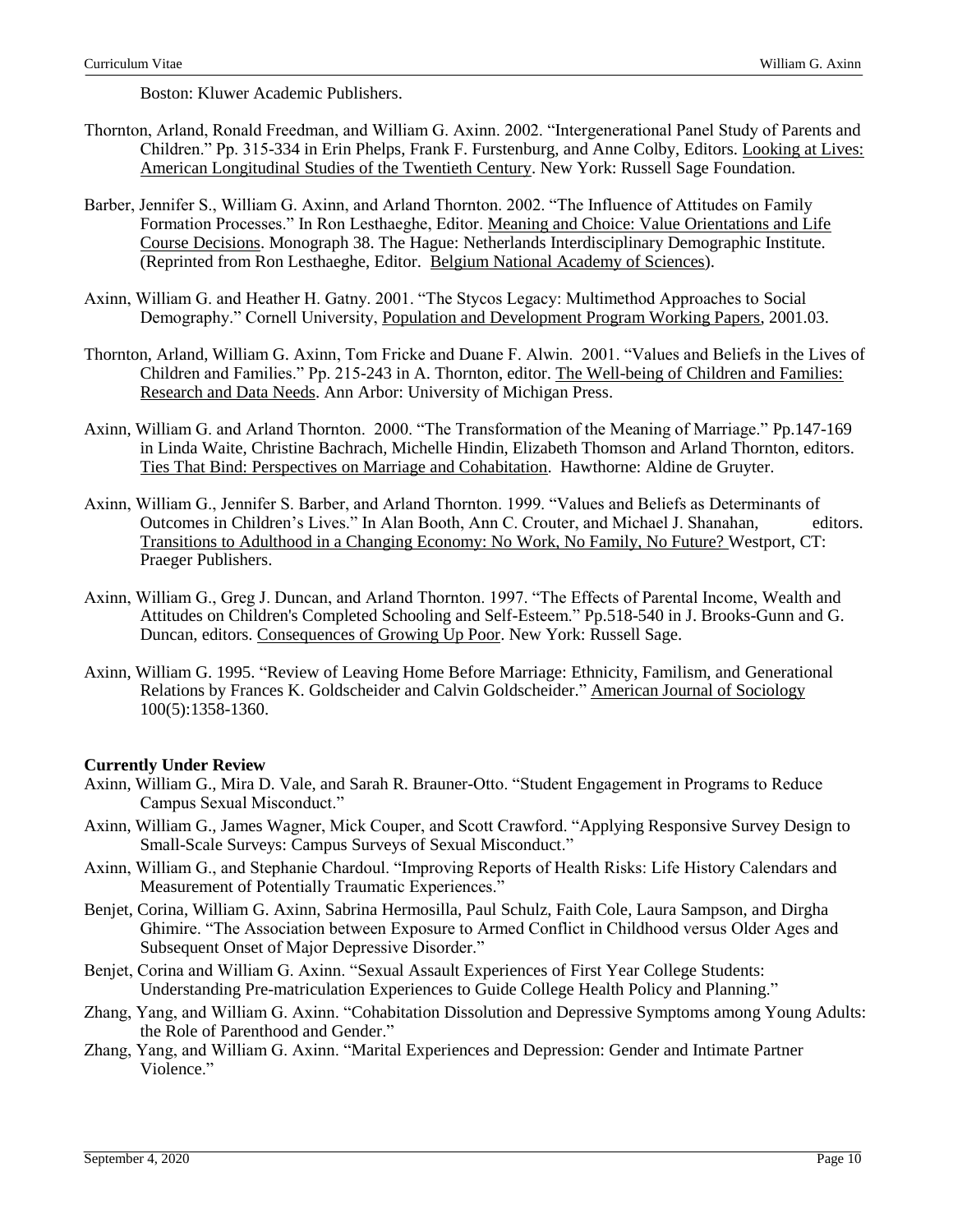Boston: Kluwer Academic Publishers.

- Thornton, Arland, Ronald Freedman, and William G. Axinn. 2002. "Intergenerational Panel Study of Parents and Children." Pp. 315-334 in Erin Phelps, Frank F. Furstenburg, and Anne Colby, Editors. Looking at Lives: American Longitudinal Studies of the Twentieth Century. New York: Russell Sage Foundation.
- Barber, Jennifer S., William G. Axinn, and Arland Thornton. 2002. "The Influence of Attitudes on Family Formation Processes." In Ron Lesthaeghe, Editor. Meaning and Choice: Value Orientations and Life Course Decisions. Monograph 38. The Hague: Netherlands Interdisciplinary Demographic Institute. (Reprinted from Ron Lesthaeghe, Editor. Belgium National Academy of Sciences).
- Axinn, William G. and Heather H. Gatny. 2001. "The Stycos Legacy: Multimethod Approaches to Social Demography." Cornell University, Population and Development Program Working Papers, 2001.03.
- Thornton, Arland, William G. Axinn, Tom Fricke and Duane F. Alwin. 2001. "Values and Beliefs in the Lives of Children and Families." Pp. 215-243 in A. Thornton, editor. The Well-being of Children and Families: Research and Data Needs. Ann Arbor: University of Michigan Press.
- Axinn, William G. and Arland Thornton. 2000. "The Transformation of the Meaning of Marriage." Pp.147-169 in Linda Waite, Christine Bachrach, Michelle Hindin, Elizabeth Thomson and Arland Thornton, editors. Ties That Bind: Perspectives on Marriage and Cohabitation. Hawthorne: Aldine de Gruyter.
- Axinn, William G., Jennifer S. Barber, and Arland Thornton. 1999. "Values and Beliefs as Determinants of Outcomes in Children's Lives." In Alan Booth, Ann C. Crouter, and Michael J. Shanahan, editors. Transitions to Adulthood in a Changing Economy: No Work, No Family, No Future? Westport, CT: Praeger Publishers.
- Axinn, William G., Greg J. Duncan, and Arland Thornton. 1997. "The Effects of Parental Income, Wealth and Attitudes on Children's Completed Schooling and Self-Esteem." Pp.518-540 in J. Brooks-Gunn and G. Duncan, editors. Consequences of Growing Up Poor. New York: Russell Sage.
- Axinn, William G. 1995. "Review of Leaving Home Before Marriage: Ethnicity, Familism, and Generational Relations by Frances K. Goldscheider and Calvin Goldscheider." American Journal of Sociology 100(5):1358-1360.

## **Currently Under Review**

- Axinn, William G., Mira D. Vale, and Sarah R. Brauner-Otto. "Student Engagement in Programs to Reduce Campus Sexual Misconduct."
- Axinn, William G., James Wagner, Mick Couper, and Scott Crawford. "Applying Responsive Survey Design to Small-Scale Surveys: Campus Surveys of Sexual Misconduct."
- Axinn, William G., and Stephanie Chardoul. "Improving Reports of Health Risks: Life History Calendars and Measurement of Potentially Traumatic Experiences."
- Benjet, Corina, William G. Axinn, Sabrina Hermosilla, Paul Schulz, Faith Cole, Laura Sampson, and Dirgha Ghimire. "The Association between Exposure to Armed Conflict in Childhood versus Older Ages and Subsequent Onset of Major Depressive Disorder."
- Benjet, Corina and William G. Axinn. "Sexual Assault Experiences of First Year College Students: Understanding Pre-matriculation Experiences to Guide College Health Policy and Planning."
- Zhang, Yang, and William G. Axinn. "Cohabitation Dissolution and Depressive Symptoms among Young Adults: the Role of Parenthood and Gender."
- Zhang, Yang, and William G. Axinn. "Marital Experiences and Depression: Gender and Intimate Partner Violence<sup>"</sup>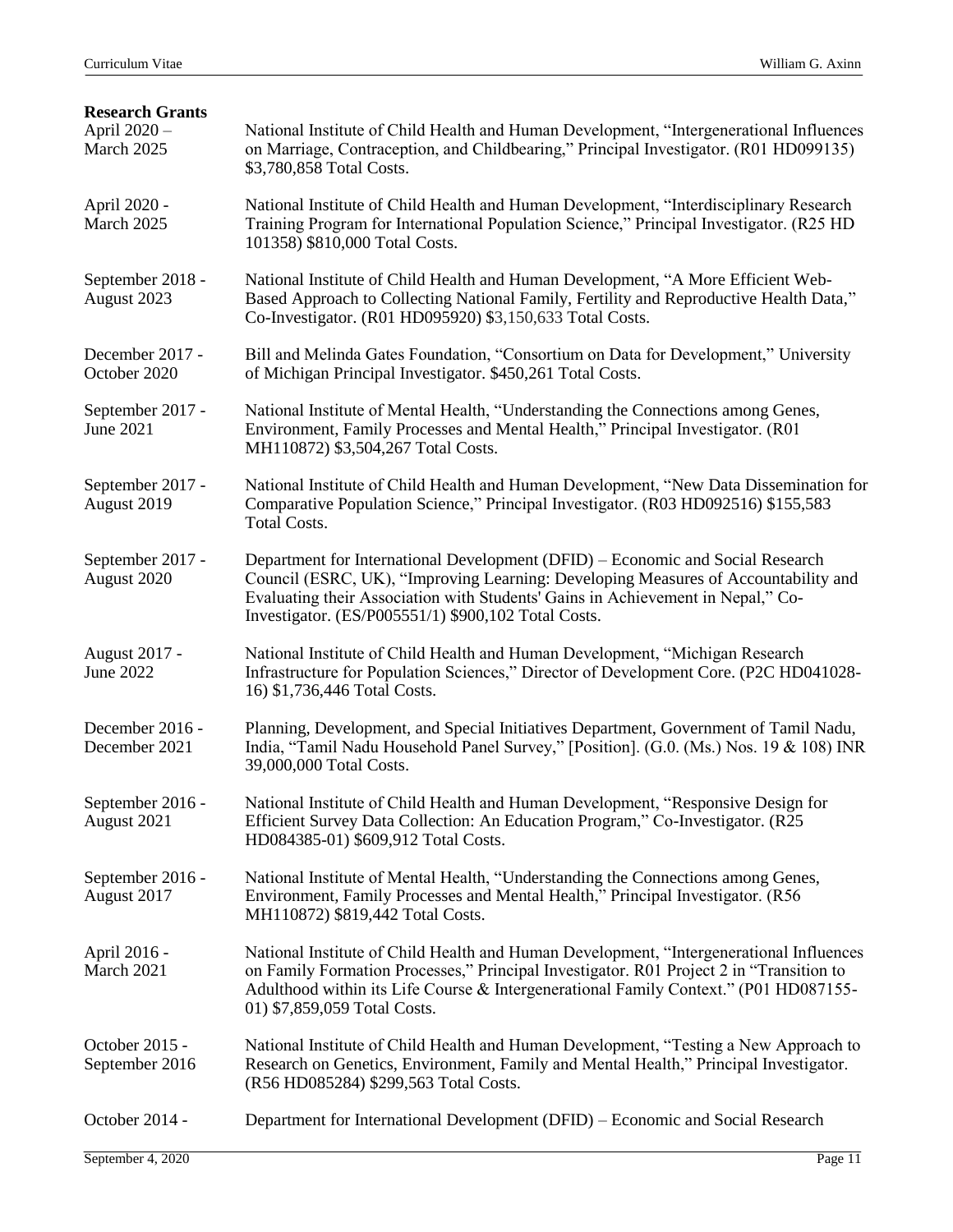| <b>Research Grants</b><br>April 2020 -<br>March 2025 | National Institute of Child Health and Human Development, "Intergenerational Influences<br>on Marriage, Contraception, and Childbearing," Principal Investigator. (R01 HD099135)<br>\$3,780,858 Total Costs.                                                                                                   |
|------------------------------------------------------|----------------------------------------------------------------------------------------------------------------------------------------------------------------------------------------------------------------------------------------------------------------------------------------------------------------|
| April 2020 -<br>March 2025                           | National Institute of Child Health and Human Development, "Interdisciplinary Research"<br>Training Program for International Population Science," Principal Investigator. (R25 HD)<br>101358) \$810,000 Total Costs.                                                                                           |
| September 2018 -<br>August 2023                      | National Institute of Child Health and Human Development, "A More Efficient Web-<br>Based Approach to Collecting National Family, Fertility and Reproductive Health Data,"<br>Co-Investigator. (R01 HD095920) \$3,150,633 Total Costs.                                                                         |
| December 2017 -<br>October 2020                      | Bill and Melinda Gates Foundation, "Consortium on Data for Development," University<br>of Michigan Principal Investigator. \$450,261 Total Costs.                                                                                                                                                              |
| September 2017 -<br>June 2021                        | National Institute of Mental Health, "Understanding the Connections among Genes,<br>Environment, Family Processes and Mental Health," Principal Investigator. (R01<br>MH110872) \$3,504,267 Total Costs.                                                                                                       |
| September 2017 -<br>August 2019                      | National Institute of Child Health and Human Development, "New Data Dissemination for<br>Comparative Population Science," Principal Investigator. (R03 HD092516) \$155,583<br><b>Total Costs.</b>                                                                                                              |
| September 2017 -<br>August 2020                      | Department for International Development (DFID) – Economic and Social Research<br>Council (ESRC, UK), "Improving Learning: Developing Measures of Accountability and<br>Evaluating their Association with Students' Gains in Achievement in Nepal," Co-<br>Investigator. (ES/P005551/1) \$900,102 Total Costs. |
| August 2017 -<br>June 2022                           | National Institute of Child Health and Human Development, "Michigan Research<br>Infrastructure for Population Sciences," Director of Development Core. (P2C HD041028-<br>16) \$1,736,446 Total Costs.                                                                                                          |
| December 2016 -<br>December 2021                     | Planning, Development, and Special Initiatives Department, Government of Tamil Nadu,<br>India, "Tamil Nadu Household Panel Survey," [Position]. (G.0. (Ms.) Nos. 19 & 108) INR<br>39,000,000 Total Costs.                                                                                                      |
| September 2016 -<br>August 2021                      | National Institute of Child Health and Human Development, "Responsive Design for<br>Efficient Survey Data Collection: An Education Program," Co-Investigator. (R25<br>HD084385-01) \$609,912 Total Costs.                                                                                                      |
| September 2016 -<br>August 2017                      | National Institute of Mental Health, "Understanding the Connections among Genes,<br>Environment, Family Processes and Mental Health," Principal Investigator. (R56<br>MH110872) \$819,442 Total Costs.                                                                                                         |
| April 2016 -<br>March 2021                           | National Institute of Child Health and Human Development, "Intergenerational Influences<br>on Family Formation Processes," Principal Investigator. R01 Project 2 in "Transition to<br>Adulthood within its Life Course & Intergenerational Family Context." (P01 HD087155-<br>01) \$7,859,059 Total Costs.     |
| October 2015 -<br>September 2016                     | National Institute of Child Health and Human Development, "Testing a New Approach to<br>Research on Genetics, Environment, Family and Mental Health," Principal Investigator.<br>(R56 HD085284) \$299,563 Total Costs.                                                                                         |
| October 2014 -                                       | Department for International Development (DFID) - Economic and Social Research                                                                                                                                                                                                                                 |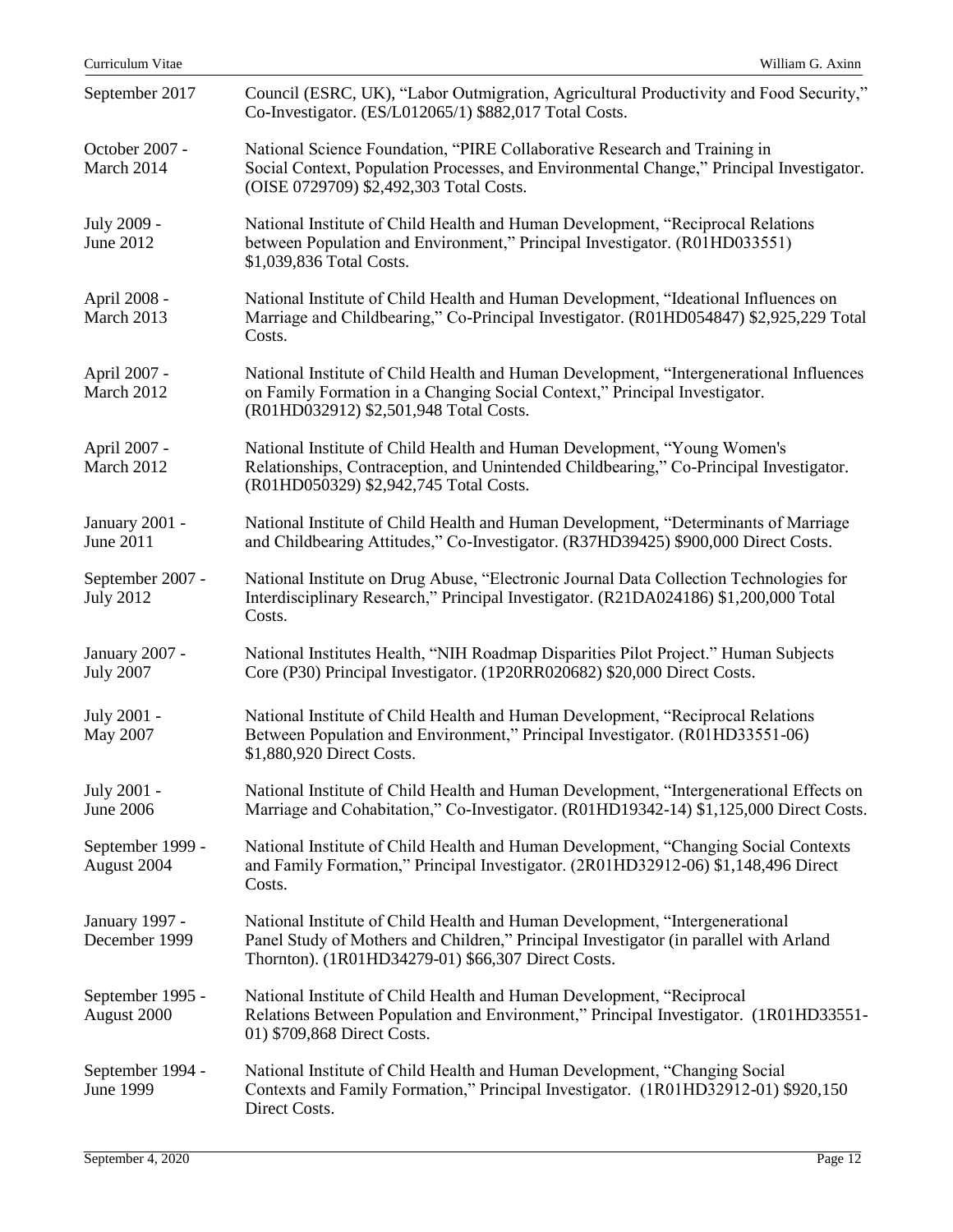| Curriculum Vitae                     | William G. Axinn                                                                                                                                                                                                            |
|--------------------------------------|-----------------------------------------------------------------------------------------------------------------------------------------------------------------------------------------------------------------------------|
| September 2017                       | Council (ESRC, UK), "Labor Outmigration, Agricultural Productivity and Food Security,"<br>Co-Investigator. (ES/L012065/1) \$882,017 Total Costs.                                                                            |
| October 2007 -<br>March 2014         | National Science Foundation, "PIRE Collaborative Research and Training in<br>Social Context, Population Processes, and Environmental Change," Principal Investigator.<br>(OISE 0729709) \$2,492,303 Total Costs.            |
| July 2009 -<br>June 2012             | National Institute of Child Health and Human Development, "Reciprocal Relations<br>between Population and Environment," Principal Investigator. (R01HD033551)<br>\$1,039,836 Total Costs.                                   |
| April 2008 -<br>March 2013           | National Institute of Child Health and Human Development, "Ideational Influences on<br>Marriage and Childbearing," Co-Principal Investigator. (R01HD054847) \$2,925,229 Total<br>Costs.                                     |
| April 2007 -<br>March 2012           | National Institute of Child Health and Human Development, "Intergenerational Influences"<br>on Family Formation in a Changing Social Context," Principal Investigator.<br>(R01HD032912) \$2,501,948 Total Costs.            |
| April 2007 -<br>March 2012           | National Institute of Child Health and Human Development, "Young Women's<br>Relationships, Contraception, and Unintended Childbearing," Co-Principal Investigator.<br>(R01HD050329) \$2,942,745 Total Costs.                |
| January 2001 -<br>June 2011          | National Institute of Child Health and Human Development, "Determinants of Marriage<br>and Childbearing Attitudes," Co-Investigator. (R37HD39425) \$900,000 Direct Costs.                                                   |
| September 2007 -<br><b>July 2012</b> | National Institute on Drug Abuse, "Electronic Journal Data Collection Technologies for<br>Interdisciplinary Research," Principal Investigator. (R21DA024186) \$1,200,000 Total<br>Costs.                                    |
| January 2007 -<br><b>July 2007</b>   | National Institutes Health, "NIH Roadmap Disparities Pilot Project." Human Subjects<br>Core (P30) Principal Investigator. (1P20RR020682) \$20,000 Direct Costs.                                                             |
| July 2001 -<br>May 2007              | National Institute of Child Health and Human Development, "Reciprocal Relations<br>Between Population and Environment," Principal Investigator. (R01HD33551-06)<br>\$1,880,920 Direct Costs.                                |
| July 2001 -<br>June 2006             | National Institute of Child Health and Human Development, "Intergenerational Effects on<br>Marriage and Cohabitation," Co-Investigator. (R01HD19342-14) \$1,125,000 Direct Costs.                                           |
| September 1999 -<br>August 2004      | National Institute of Child Health and Human Development, "Changing Social Contexts"<br>and Family Formation," Principal Investigator. (2R01HD32912-06) \$1,148,496 Direct<br>Costs.                                        |
| January 1997 -<br>December 1999      | National Institute of Child Health and Human Development, "Intergenerational<br>Panel Study of Mothers and Children," Principal Investigator (in parallel with Arland<br>Thornton). (1R01HD34279-01) \$66,307 Direct Costs. |
| September 1995 -<br>August 2000      | National Institute of Child Health and Human Development, "Reciprocal<br>Relations Between Population and Environment," Principal Investigator. (1R01HD33551-<br>01) \$709,868 Direct Costs.                                |
| September 1994 -<br><b>June 1999</b> | National Institute of Child Health and Human Development, "Changing Social<br>Contexts and Family Formation," Principal Investigator. (1R01HD32912-01) \$920,150<br>Direct Costs.                                           |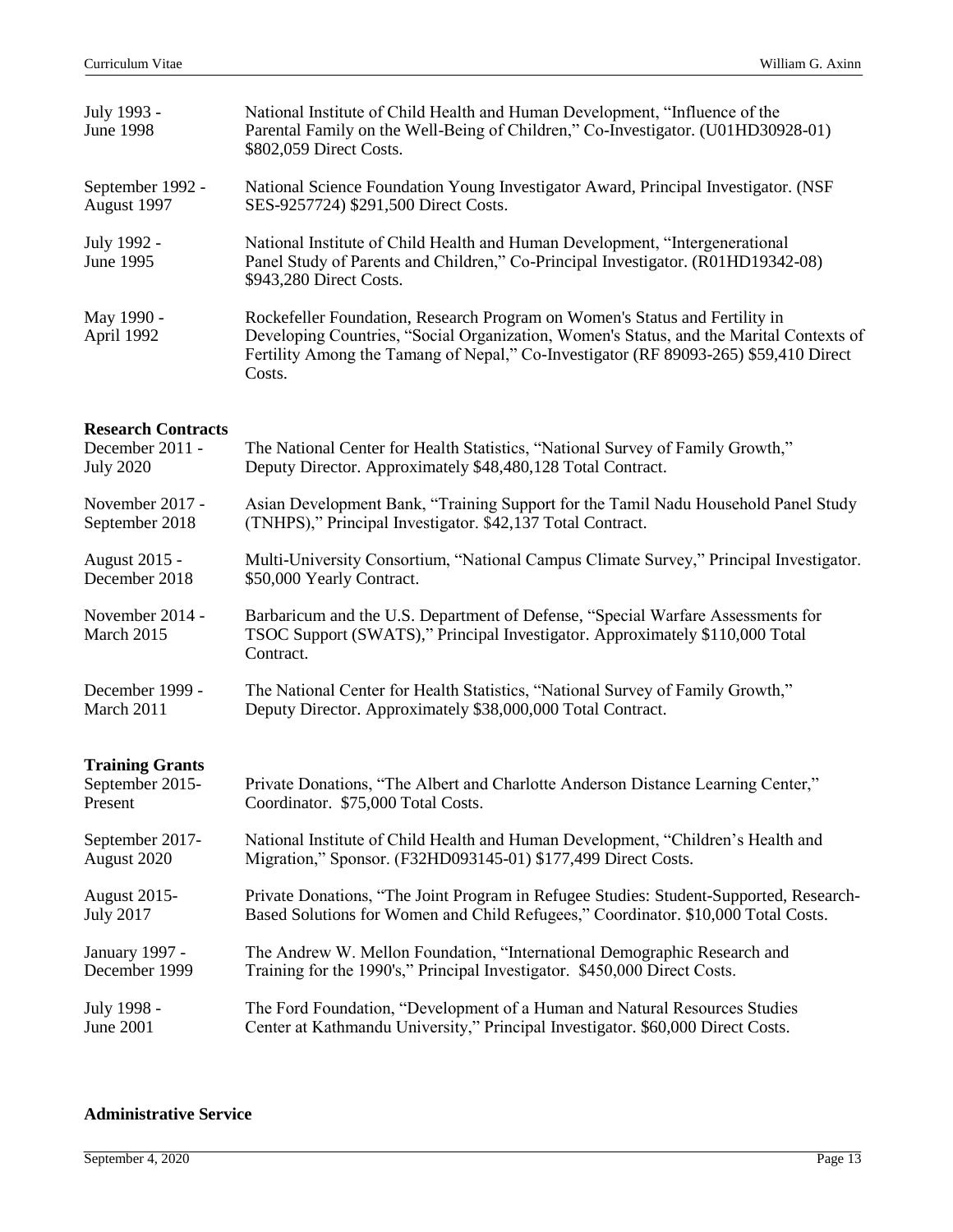| July 1993 -<br>June 1998      | National Institute of Child Health and Human Development, "Influence of the<br>Parental Family on the Well-Being of Children," Co-Investigator. (U01HD30928-01)<br>\$802,059 Direct Costs.                                                                               |
|-------------------------------|--------------------------------------------------------------------------------------------------------------------------------------------------------------------------------------------------------------------------------------------------------------------------|
| September 1992 -              | National Science Foundation Young Investigator Award, Principal Investigator. (NSF                                                                                                                                                                                       |
| August 1997                   | SES-9257724) \$291,500 Direct Costs.                                                                                                                                                                                                                                     |
| July 1992 -<br>June 1995      | National Institute of Child Health and Human Development, "Intergenerational<br>Panel Study of Parents and Children," Co-Principal Investigator. (R01HD19342-08)<br>\$943,280 Direct Costs.                                                                              |
| May 1990 -<br>April 1992      | Rockefeller Foundation, Research Program on Women's Status and Fertility in<br>Developing Countries, "Social Organization, Women's Status, and the Marital Contexts of<br>Fertility Among the Tamang of Nepal," Co-Investigator (RF 89093-265) \$59,410 Direct<br>Costs. |
| <b>Research Contracts</b>     |                                                                                                                                                                                                                                                                          |
| December 2011 -               | The National Center for Health Statistics, "National Survey of Family Growth,"                                                                                                                                                                                           |
| July 2020                     | Deputy Director. Approximately \$48,480,128 Total Contract.                                                                                                                                                                                                              |
| November 2017 -               | Asian Development Bank, "Training Support for the Tamil Nadu Household Panel Study                                                                                                                                                                                       |
| September 2018                | (TNHPS)," Principal Investigator. \$42,137 Total Contract.                                                                                                                                                                                                               |
| <b>August 2015 -</b>          | Multi-University Consortium, "National Campus Climate Survey," Principal Investigator.                                                                                                                                                                                   |
| December 2018                 | \$50,000 Yearly Contract.                                                                                                                                                                                                                                                |
| November 2014 -<br>March 2015 | Barbaricum and the U.S. Department of Defense, "Special Warfare Assessments for<br>TSOC Support (SWATS)," Principal Investigator. Approximately \$110,000 Total<br>Contract.                                                                                             |
| December 1999 -               | The National Center for Health Statistics, "National Survey of Family Growth,"                                                                                                                                                                                           |
| March 2011                    | Deputy Director. Approximately \$38,000,000 Total Contract.                                                                                                                                                                                                              |
| <b>Training Grants</b>        |                                                                                                                                                                                                                                                                          |
| September 2015-               | Private Donations, "The Albert and Charlotte Anderson Distance Learning Center,"                                                                                                                                                                                         |
| Present                       | Coordinator. \$75,000 Total Costs.                                                                                                                                                                                                                                       |
| September 2017-               | National Institute of Child Health and Human Development, "Children's Health and                                                                                                                                                                                         |
| August 2020                   | Migration," Sponsor. (F32HD093145-01) \$177,499 Direct Costs.                                                                                                                                                                                                            |
| August 2015-                  | Private Donations, "The Joint Program in Refugee Studies: Student-Supported, Research-                                                                                                                                                                                   |
| July 2017                     | Based Solutions for Women and Child Refugees," Coordinator. \$10,000 Total Costs.                                                                                                                                                                                        |
| January 1997 -                | The Andrew W. Mellon Foundation, "International Demographic Research and                                                                                                                                                                                                 |
| December 1999                 | Training for the 1990's," Principal Investigator. \$450,000 Direct Costs.                                                                                                                                                                                                |
| July 1998 -                   | The Ford Foundation, "Development of a Human and Natural Resources Studies                                                                                                                                                                                               |
| June 2001                     | Center at Kathmandu University," Principal Investigator. \$60,000 Direct Costs.                                                                                                                                                                                          |
|                               |                                                                                                                                                                                                                                                                          |

#### **Administrative Service**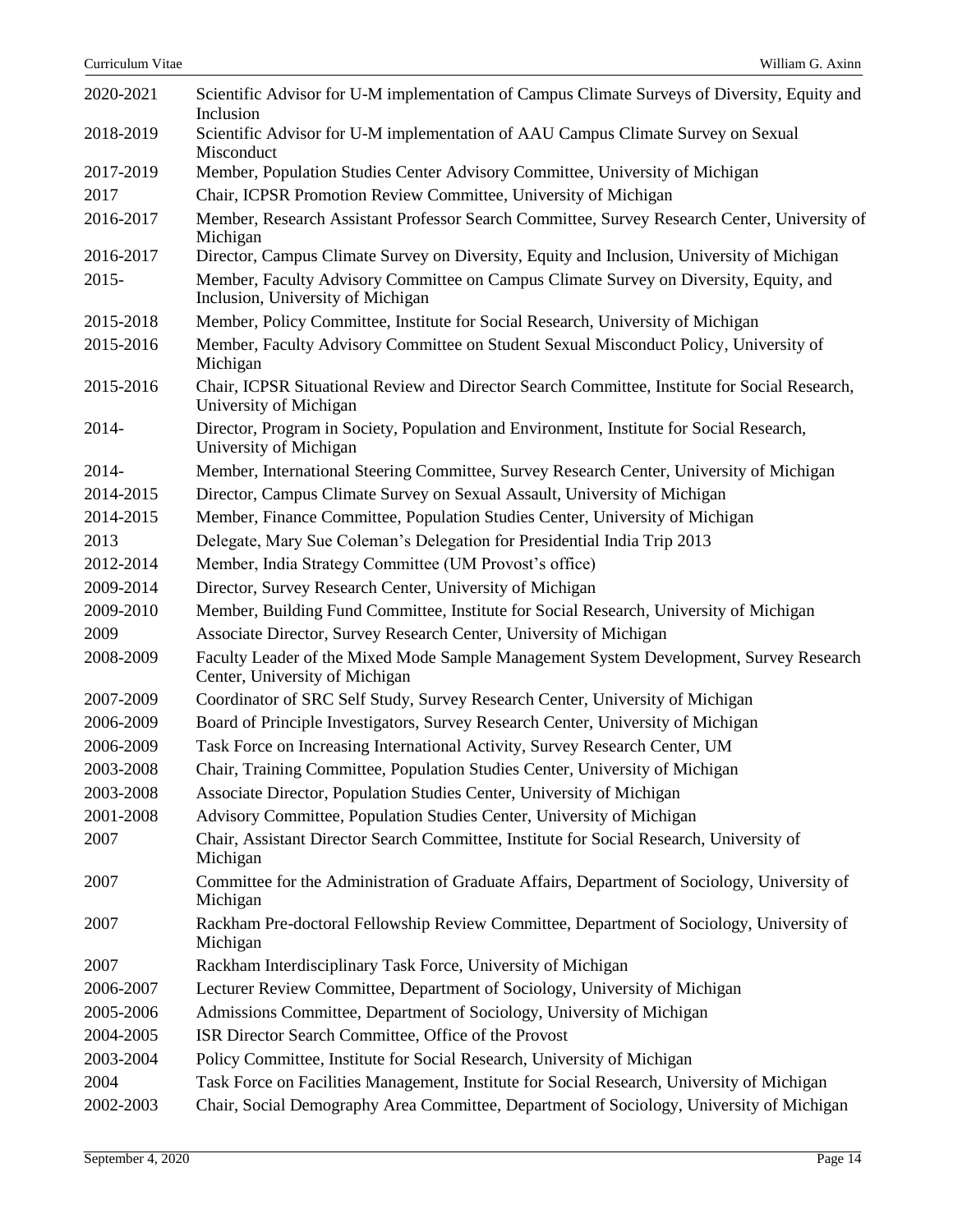| 2020-2021 | Scientific Advisor for U-M implementation of Campus Climate Surveys of Diversity, Equity and<br>Inclusion                  |
|-----------|----------------------------------------------------------------------------------------------------------------------------|
| 2018-2019 | Scientific Advisor for U-M implementation of AAU Campus Climate Survey on Sexual                                           |
|           | Misconduct                                                                                                                 |
| 2017-2019 | Member, Population Studies Center Advisory Committee, University of Michigan                                               |
| 2017      | Chair, ICPSR Promotion Review Committee, University of Michigan                                                            |
| 2016-2017 | Member, Research Assistant Professor Search Committee, Survey Research Center, University of<br>Michigan                   |
| 2016-2017 | Director, Campus Climate Survey on Diversity, Equity and Inclusion, University of Michigan                                 |
| $2015 -$  | Member, Faculty Advisory Committee on Campus Climate Survey on Diversity, Equity, and<br>Inclusion, University of Michigan |
| 2015-2018 | Member, Policy Committee, Institute for Social Research, University of Michigan                                            |
| 2015-2016 | Member, Faculty Advisory Committee on Student Sexual Misconduct Policy, University of<br>Michigan                          |
| 2015-2016 | Chair, ICPSR Situational Review and Director Search Committee, Institute for Social Research,<br>University of Michigan    |
| 2014-     | Director, Program in Society, Population and Environment, Institute for Social Research,<br>University of Michigan         |
| 2014-     | Member, International Steering Committee, Survey Research Center, University of Michigan                                   |
| 2014-2015 | Director, Campus Climate Survey on Sexual Assault, University of Michigan                                                  |
| 2014-2015 | Member, Finance Committee, Population Studies Center, University of Michigan                                               |
| 2013      | Delegate, Mary Sue Coleman's Delegation for Presidential India Trip 2013                                                   |
| 2012-2014 | Member, India Strategy Committee (UM Provost's office)                                                                     |
| 2009-2014 | Director, Survey Research Center, University of Michigan                                                                   |
| 2009-2010 | Member, Building Fund Committee, Institute for Social Research, University of Michigan                                     |
| 2009      | Associate Director, Survey Research Center, University of Michigan                                                         |
| 2008-2009 | Faculty Leader of the Mixed Mode Sample Management System Development, Survey Research<br>Center, University of Michigan   |
| 2007-2009 | Coordinator of SRC Self Study, Survey Research Center, University of Michigan                                              |
| 2006-2009 | Board of Principle Investigators, Survey Research Center, University of Michigan                                           |
| 2006-2009 | Task Force on Increasing International Activity, Survey Research Center, UM                                                |
| 2003-2008 | Chair, Training Committee, Population Studies Center, University of Michigan                                               |
| 2003-2008 | Associate Director, Population Studies Center, University of Michigan                                                      |
| 2001-2008 | Advisory Committee, Population Studies Center, University of Michigan                                                      |
| 2007      | Chair, Assistant Director Search Committee, Institute for Social Research, University of<br>Michigan                       |
| 2007      | Committee for the Administration of Graduate Affairs, Department of Sociology, University of<br>Michigan                   |
| 2007      | Rackham Pre-doctoral Fellowship Review Committee, Department of Sociology, University of<br>Michigan                       |
| 2007      | Rackham Interdisciplinary Task Force, University of Michigan                                                               |
| 2006-2007 | Lecturer Review Committee, Department of Sociology, University of Michigan                                                 |
| 2005-2006 | Admissions Committee, Department of Sociology, University of Michigan                                                      |
| 2004-2005 | ISR Director Search Committee, Office of the Provost                                                                       |
| 2003-2004 | Policy Committee, Institute for Social Research, University of Michigan                                                    |
| 2004      | Task Force on Facilities Management, Institute for Social Research, University of Michigan                                 |
| 2002-2003 | Chair, Social Demography Area Committee, Department of Sociology, University of Michigan                                   |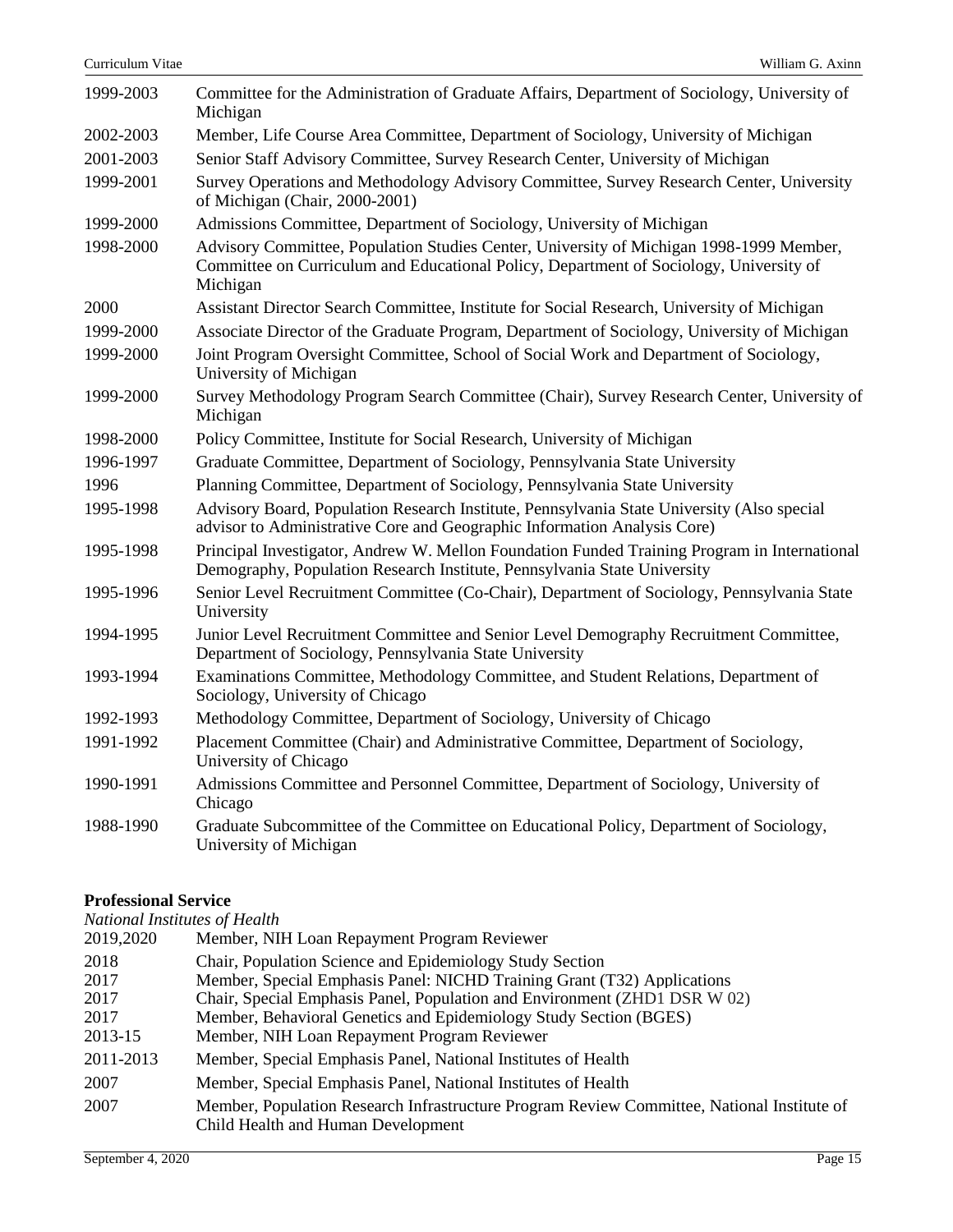| 1999-2003 | Committee for the Administration of Graduate Affairs, Department of Sociology, University of<br>Michigan                                                                                      |
|-----------|-----------------------------------------------------------------------------------------------------------------------------------------------------------------------------------------------|
| 2002-2003 | Member, Life Course Area Committee, Department of Sociology, University of Michigan                                                                                                           |
| 2001-2003 | Senior Staff Advisory Committee, Survey Research Center, University of Michigan                                                                                                               |
| 1999-2001 | Survey Operations and Methodology Advisory Committee, Survey Research Center, University<br>of Michigan (Chair, 2000-2001)                                                                    |
| 1999-2000 | Admissions Committee, Department of Sociology, University of Michigan                                                                                                                         |
| 1998-2000 | Advisory Committee, Population Studies Center, University of Michigan 1998-1999 Member,<br>Committee on Curriculum and Educational Policy, Department of Sociology, University of<br>Michigan |
| 2000      | Assistant Director Search Committee, Institute for Social Research, University of Michigan                                                                                                    |
| 1999-2000 | Associate Director of the Graduate Program, Department of Sociology, University of Michigan                                                                                                   |
| 1999-2000 | Joint Program Oversight Committee, School of Social Work and Department of Sociology,<br>University of Michigan                                                                               |
| 1999-2000 | Survey Methodology Program Search Committee (Chair), Survey Research Center, University of<br>Michigan                                                                                        |
| 1998-2000 | Policy Committee, Institute for Social Research, University of Michigan                                                                                                                       |
| 1996-1997 | Graduate Committee, Department of Sociology, Pennsylvania State University                                                                                                                    |
| 1996      | Planning Committee, Department of Sociology, Pennsylvania State University                                                                                                                    |
| 1995-1998 | Advisory Board, Population Research Institute, Pennsylvania State University (Also special<br>advisor to Administrative Core and Geographic Information Analysis Core)                        |
| 1995-1998 | Principal Investigator, Andrew W. Mellon Foundation Funded Training Program in International<br>Demography, Population Research Institute, Pennsylvania State University                      |
| 1995-1996 | Senior Level Recruitment Committee (Co-Chair), Department of Sociology, Pennsylvania State<br>University                                                                                      |
| 1994-1995 | Junior Level Recruitment Committee and Senior Level Demography Recruitment Committee,<br>Department of Sociology, Pennsylvania State University                                               |
| 1993-1994 | Examinations Committee, Methodology Committee, and Student Relations, Department of<br>Sociology, University of Chicago                                                                       |
| 1992-1993 | Methodology Committee, Department of Sociology, University of Chicago                                                                                                                         |
| 1991-1992 | Placement Committee (Chair) and Administrative Committee, Department of Sociology,<br>University of Chicago                                                                                   |
| 1990-1991 | Admissions Committee and Personnel Committee, Department of Sociology, University of<br>Chicago                                                                                               |
| 1988-1990 | Graduate Subcommittee of the Committee on Educational Policy, Department of Sociology,<br>University of Michigan                                                                              |

# **Professional Service**

*National Institutes of Health*

| Thurtonur Institutos of IICutti                                                                                                  |  |  |
|----------------------------------------------------------------------------------------------------------------------------------|--|--|
| Member, NIH Loan Repayment Program Reviewer                                                                                      |  |  |
| Chair, Population Science and Epidemiology Study Section                                                                         |  |  |
| Member, Special Emphasis Panel: NICHD Training Grant (T32) Applications                                                          |  |  |
| Chair, Special Emphasis Panel, Population and Environment (ZHD1 DSR W 02)                                                        |  |  |
| Member, Behavioral Genetics and Epidemiology Study Section (BGES)                                                                |  |  |
| Member, NIH Loan Repayment Program Reviewer                                                                                      |  |  |
| Member, Special Emphasis Panel, National Institutes of Health                                                                    |  |  |
| Member, Special Emphasis Panel, National Institutes of Health                                                                    |  |  |
| Member, Population Research Infrastructure Program Review Committee, National Institute of<br>Child Health and Human Development |  |  |
|                                                                                                                                  |  |  |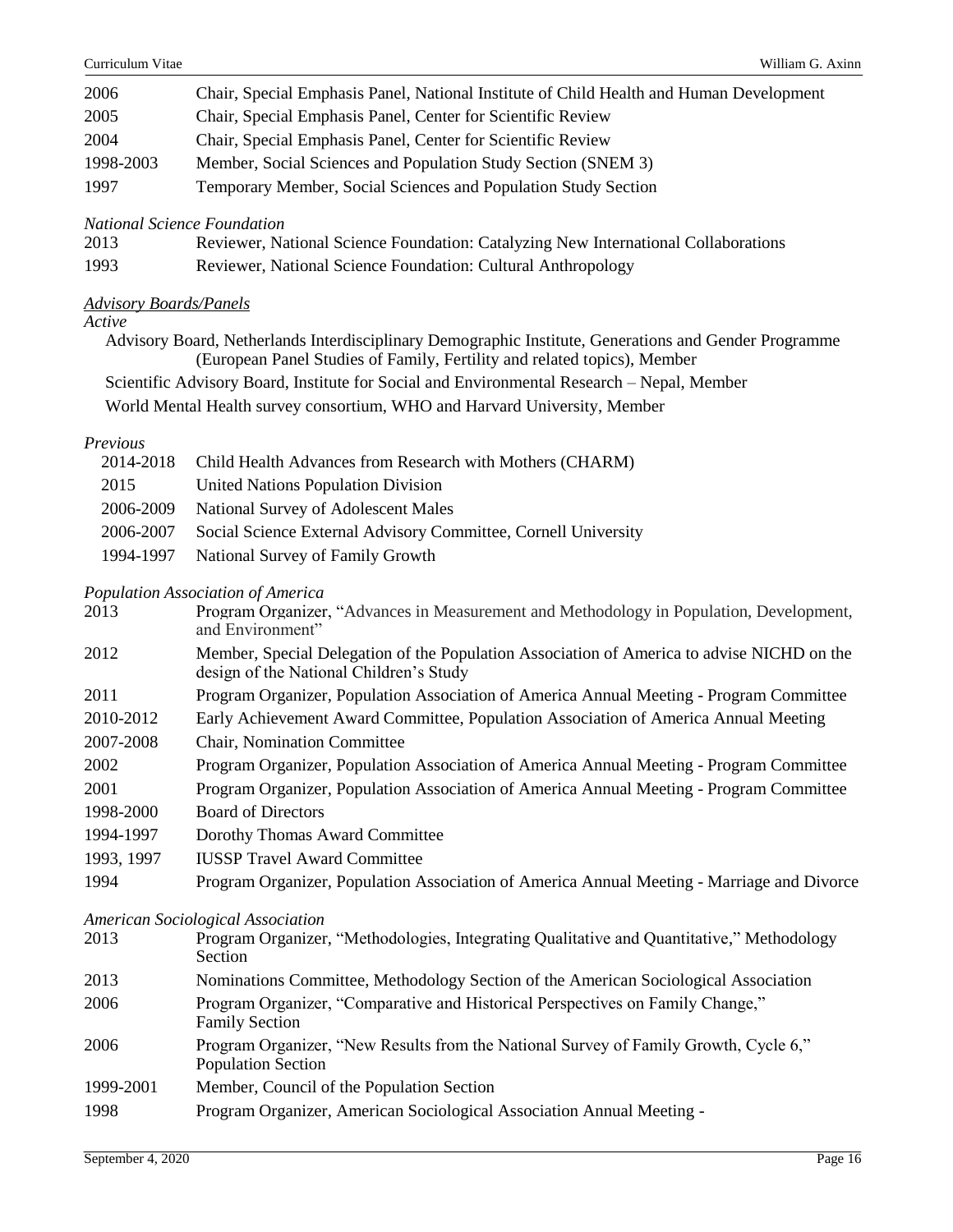| 2006      | Chair, Special Emphasis Panel, National Institute of Child Health and Human Development |
|-----------|-----------------------------------------------------------------------------------------|
| 2005      | Chair, Special Emphasis Panel, Center for Scientific Review                             |
| 2004      | Chair, Special Emphasis Panel, Center for Scientific Review                             |
| 1998-2003 | Member, Social Sciences and Population Study Section (SNEM 3)                           |
| 1997      | Temporary Member, Social Sciences and Population Study Section                          |
|           |                                                                                         |

*National Science Foundation*

| 2013 | Reviewer, National Science Foundation: Catalyzing New International Collaborations |
|------|------------------------------------------------------------------------------------|
| 1993 | Reviewer, National Science Foundation: Cultural Anthropology                       |

## *Advisory Boards/Panels*

*Active*

Advisory Board, Netherlands Interdisciplinary Demographic Institute, Generations and Gender Programme (European Panel Studies of Family, Fertility and related topics), Member

Scientific Advisory Board, Institute for Social and Environmental Research – Nepal, Member

World Mental Health survey consortium, WHO and Harvard University, Member

## *Previous*

|           | 2014-2018 Child Health Advances from Research with Mothers (CHARM)       |
|-----------|--------------------------------------------------------------------------|
| 2015      | <b>United Nations Population Division</b>                                |
| 2006-2009 | National Survey of Adolescent Males                                      |
|           | 2006-2007 Social Science External Advisory Committee, Cornell University |
|           | 1994-1997 National Survey of Family Growth                               |
|           |                                                                          |

# *Population Association of America*

|            | 1 opmanon rissociation of rimerica                                                                                                    |
|------------|---------------------------------------------------------------------------------------------------------------------------------------|
| 2013       | Program Organizer, "Advances in Measurement and Methodology in Population, Development,<br>and Environment"                           |
| 2012       | Member, Special Delegation of the Population Association of America to advise NICHD on the<br>design of the National Children's Study |
| 2011       | Program Organizer, Population Association of America Annual Meeting - Program Committee                                               |
| 2010-2012  | Early Achievement Award Committee, Population Association of America Annual Meeting                                                   |
| 2007-2008  | Chair, Nomination Committee                                                                                                           |
| 2002       | Program Organizer, Population Association of America Annual Meeting - Program Committee                                               |
| 2001       | Program Organizer, Population Association of America Annual Meeting - Program Committee                                               |
| 1998-2000  | <b>Board of Directors</b>                                                                                                             |
| 1994-1997  | Dorothy Thomas Award Committee                                                                                                        |
| 1993, 1997 | <b>IUSSP Travel Award Committee</b>                                                                                                   |
| 1994       | Program Organizer, Population Association of America Annual Meeting - Marriage and Divorce                                            |
|            | <b>American Sociological Association</b>                                                                                              |
| 2013       | Program Organizer, "Methodologies, Integrating Qualitative and Quantitative," Methodology<br>Section                                  |
| 2013       | Nominations Committee, Methodology Section of the American Sociological Association                                                   |
| 2006       | Program Organizer, "Comparative and Historical Perspectives on Family Change,"<br><b>Family Section</b>                               |
| 2006       | Program Organizer, "New Results from the National Survey of Family Growth, Cycle 6,"                                                  |

- Population Section
- 1999-2001 Member, Council of the Population Section
- 1998 Program Organizer, American Sociological Association Annual Meeting -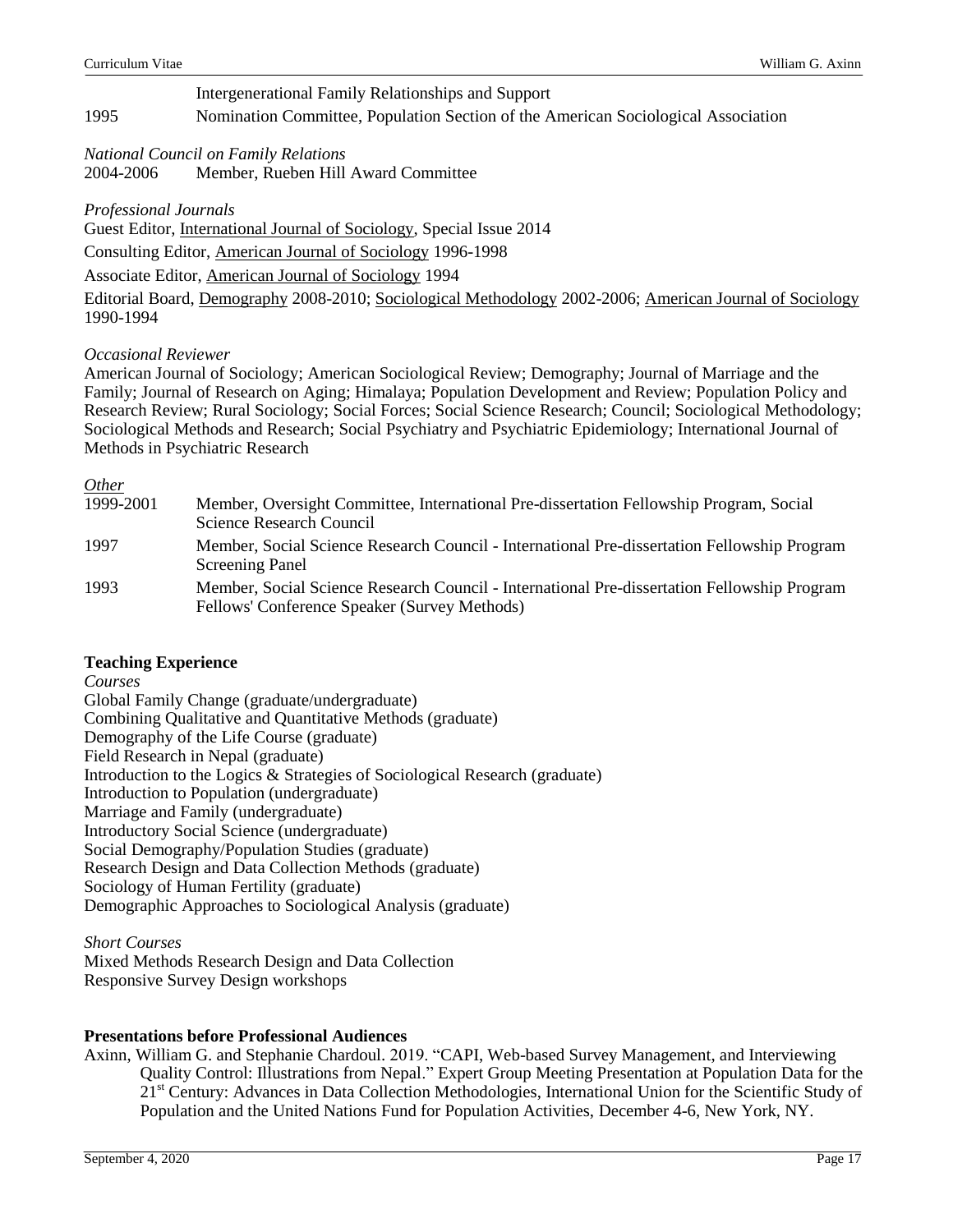# Intergenerational Family Relationships and Support 1995 Nomination Committee, Population Section of the American Sociological Association

*National Council on Family Relations* 2004-2006 Member, Rueben Hill Award Committee

# *Professional Journals*

Guest Editor, International Journal of Sociology, Special Issue 2014

Consulting Editor, American Journal of Sociology 1996-1998

Associate Editor, American Journal of Sociology 1994

Editorial Board, Demography 2008-2010; Sociological Methodology 2002-2006; American Journal of Sociology 1990-1994

# *Occasional Reviewer*

American Journal of Sociology; American Sociological Review; Demography; Journal of Marriage and the Family; Journal of Research on Aging; Himalaya; Population Development and Review; Population Policy and Research Review; Rural Sociology; Social Forces; Social Science Research; Council; Sociological Methodology; Sociological Methods and Research; Social Psychiatry and Psychiatric Epidemiology; International Journal of Methods in Psychiatric Research

# *Other*

| $\sim$    |                                                                                                                                             |
|-----------|---------------------------------------------------------------------------------------------------------------------------------------------|
| 1999-2001 | Member, Oversight Committee, International Pre-dissertation Fellowship Program, Social<br>Science Research Council                          |
| 1997      | Member, Social Science Research Council - International Pre-dissertation Fellowship Program<br><b>Screening Panel</b>                       |
| 1993      | Member, Social Science Research Council - International Pre-dissertation Fellowship Program<br>Fellows' Conference Speaker (Survey Methods) |

# **Teaching Experience**

*Courses*

Global Family Change (graduate/undergraduate) Combining Qualitative and Quantitative Methods (graduate) Demography of the Life Course (graduate) Field Research in Nepal (graduate) Introduction to the Logics & Strategies of Sociological Research (graduate) Introduction to Population (undergraduate) Marriage and Family (undergraduate) Introductory Social Science (undergraduate) Social Demography/Population Studies (graduate) Research Design and Data Collection Methods (graduate) Sociology of Human Fertility (graduate) Demographic Approaches to Sociological Analysis (graduate)

*Short Courses* Mixed Methods Research Design and Data Collection Responsive Survey Design workshops

# **Presentations before Professional Audiences**

Axinn, William G. and Stephanie Chardoul. 2019. "CAPI, Web-based Survey Management, and Interviewing Quality Control: Illustrations from Nepal." Expert Group Meeting Presentation at Population Data for the 21<sup>st</sup> Century: Advances in Data Collection Methodologies, International Union for the Scientific Study of Population and the United Nations Fund for Population Activities, December 4-6, New York, NY.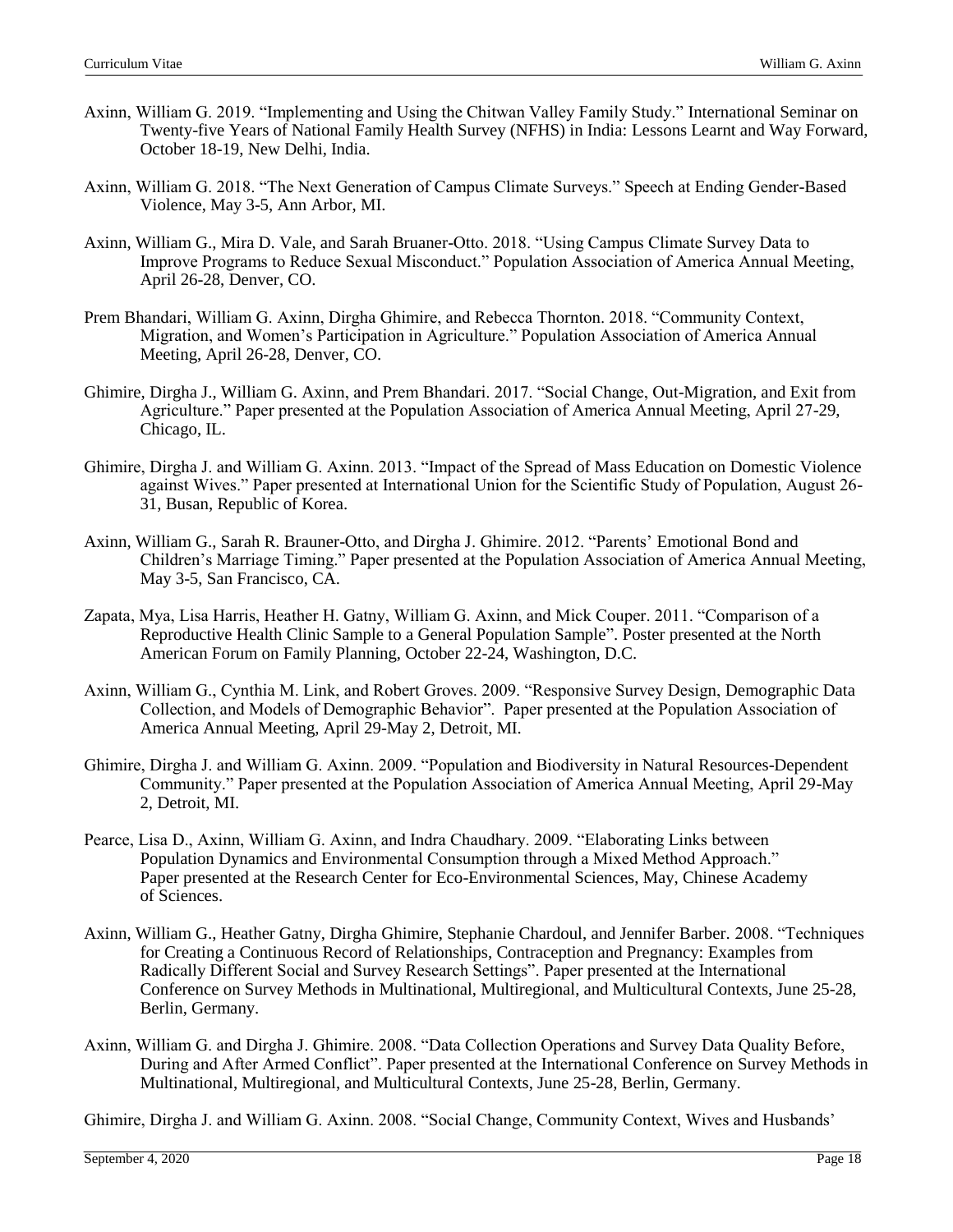- Axinn, William G. 2019. "Implementing and Using the Chitwan Valley Family Study." International Seminar on Twenty-five Years of National Family Health Survey (NFHS) in India: Lessons Learnt and Way Forward, October 18-19, New Delhi, India.
- Axinn, William G. 2018. "The Next Generation of Campus Climate Surveys." Speech at Ending Gender-Based Violence, May 3-5, Ann Arbor, MI.
- Axinn, William G., Mira D. Vale, and Sarah Bruaner-Otto. 2018. "Using Campus Climate Survey Data to Improve Programs to Reduce Sexual Misconduct." Population Association of America Annual Meeting, April 26-28, Denver, CO.
- Prem Bhandari, William G. Axinn, Dirgha Ghimire, and Rebecca Thornton. 2018. "Community Context, Migration, and Women's Participation in Agriculture." Population Association of America Annual Meeting, April 26-28, Denver, CO.
- Ghimire, Dirgha J., William G. Axinn, and Prem Bhandari. 2017. "Social Change, Out-Migration, and Exit from Agriculture." Paper presented at the Population Association of America Annual Meeting, April 27-29, Chicago, IL.
- Ghimire, Dirgha J. and William G. Axinn. 2013. "Impact of the Spread of Mass Education on Domestic Violence against Wives." Paper presented at International Union for the Scientific Study of Population, August 26- 31, Busan, Republic of Korea.
- Axinn, William G., Sarah R. Brauner-Otto, and Dirgha J. Ghimire. 2012. "Parents' Emotional Bond and Children's Marriage Timing." Paper presented at the Population Association of America Annual Meeting, May 3-5, San Francisco, CA.
- Zapata, Mya, Lisa Harris, Heather H. Gatny, William G. Axinn, and Mick Couper. 2011. "Comparison of a Reproductive Health Clinic Sample to a General Population Sample". Poster presented at the North American Forum on Family Planning, October 22-24, Washington, D.C.
- Axinn, William G., Cynthia M. Link, and Robert Groves. 2009. "Responsive Survey Design, Demographic Data Collection, and Models of Demographic Behavior". Paper presented at the Population Association of America Annual Meeting, April 29-May 2, Detroit, MI.
- Ghimire, Dirgha J. and William G. Axinn. 2009. "Population and Biodiversity in Natural Resources-Dependent Community." Paper presented at the Population Association of America Annual Meeting, April 29-May 2, Detroit, MI.
- Pearce, Lisa D., Axinn, William G. Axinn, and Indra Chaudhary. 2009. "Elaborating Links between Population Dynamics and Environmental Consumption through a Mixed Method Approach." Paper presented at the Research Center for Eco-Environmental Sciences, May, Chinese Academy of Sciences.
- Axinn, William G., Heather Gatny, Dirgha Ghimire, Stephanie Chardoul, and Jennifer Barber. 2008. "Techniques for Creating a Continuous Record of Relationships, Contraception and Pregnancy: Examples from Radically Different Social and Survey Research Settings". Paper presented at the International Conference on Survey Methods in Multinational, Multiregional, and Multicultural Contexts, June 25-28, Berlin, Germany.
- Axinn, William G. and Dirgha J. Ghimire. 2008. "Data Collection Operations and Survey Data Quality Before, During and After Armed Conflict". Paper presented at the International Conference on Survey Methods in Multinational, Multiregional, and Multicultural Contexts, June 25-28, Berlin, Germany.

Ghimire, Dirgha J. and William G. Axinn. 2008. "Social Change, Community Context, Wives and Husbands'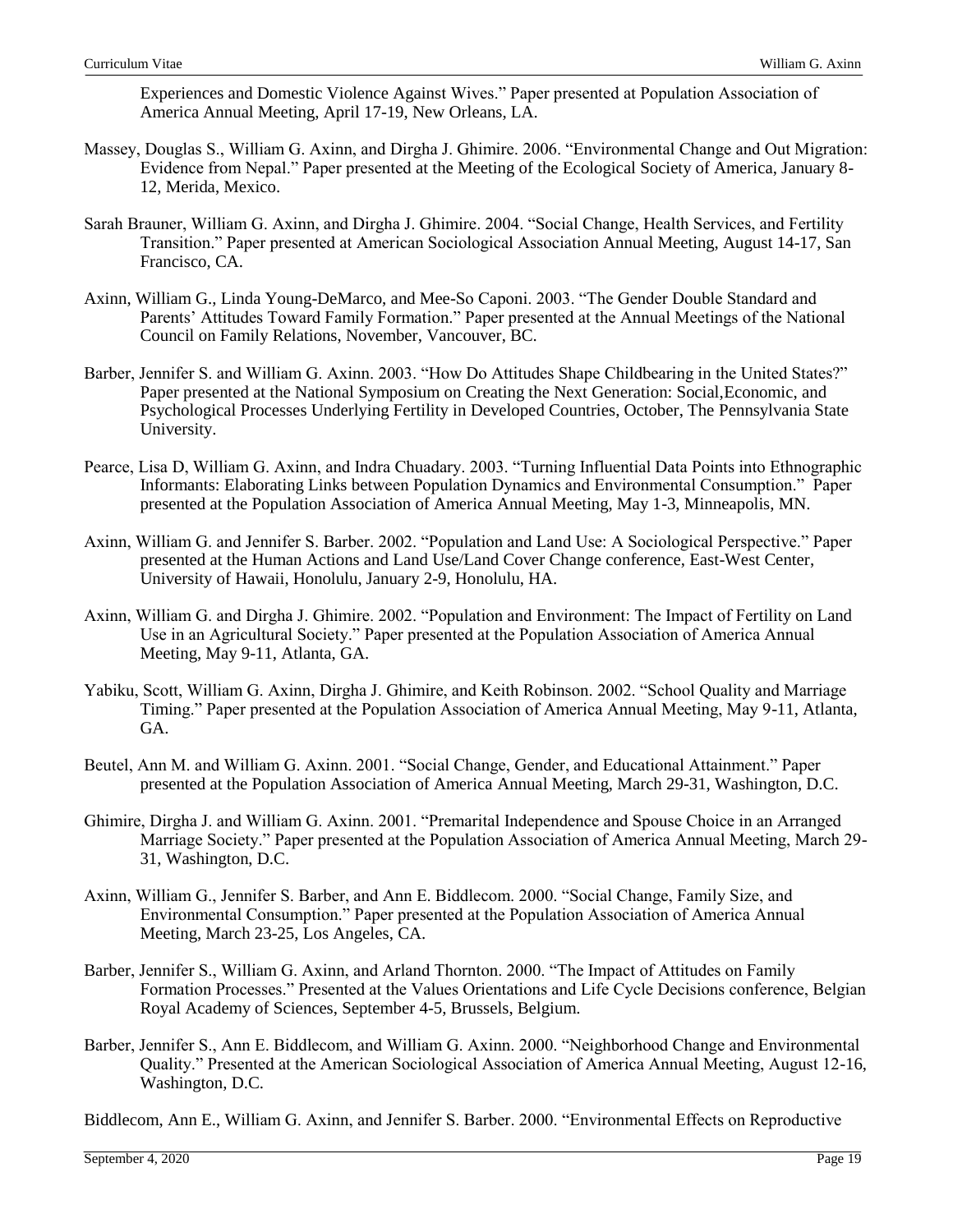Experiences and Domestic Violence Against Wives." Paper presented at Population Association of America Annual Meeting, April 17-19, New Orleans, LA.

- Massey, Douglas S., William G. Axinn, and Dirgha J. Ghimire. 2006. "Environmental Change and Out Migration: Evidence from Nepal." Paper presented at the Meeting of the Ecological Society of America, January 8- 12, Merida, Mexico.
- Sarah Brauner, William G. Axinn, and Dirgha J. Ghimire. 2004. "Social Change, Health Services, and Fertility Transition." Paper presented at American Sociological Association Annual Meeting, August 14-17, San Francisco, CA.
- Axinn, William G., Linda Young-DeMarco, and Mee-So Caponi. 2003. "The Gender Double Standard and Parents' Attitudes Toward Family Formation." Paper presented at the Annual Meetings of the National Council on Family Relations, November, Vancouver, BC.
- Barber, Jennifer S. and William G. Axinn. 2003. "How Do Attitudes Shape Childbearing in the United States?" Paper presented at the National Symposium on Creating the Next Generation: Social,Economic, and Psychological Processes Underlying Fertility in Developed Countries, October, The Pennsylvania State University.
- Pearce, Lisa D, William G. Axinn, and Indra Chuadary. 2003. "Turning Influential Data Points into Ethnographic Informants: Elaborating Links between Population Dynamics and Environmental Consumption." Paper presented at the Population Association of America Annual Meeting, May 1-3, Minneapolis, MN.
- Axinn, William G. and Jennifer S. Barber. 2002. "Population and Land Use: A Sociological Perspective." Paper presented at the Human Actions and Land Use/Land Cover Change conference, East-West Center, University of Hawaii, Honolulu, January 2-9, Honolulu, HA.
- Axinn, William G. and Dirgha J. Ghimire. 2002. "Population and Environment: The Impact of Fertility on Land Use in an Agricultural Society." Paper presented at the Population Association of America Annual Meeting, May 9-11, Atlanta, GA.
- Yabiku, Scott, William G. Axinn, Dirgha J. Ghimire, and Keith Robinson. 2002. "School Quality and Marriage Timing." Paper presented at the Population Association of America Annual Meeting, May 9-11, Atlanta, GA.
- Beutel, Ann M. and William G. Axinn. 2001. "Social Change, Gender, and Educational Attainment." Paper presented at the Population Association of America Annual Meeting, March 29-31, Washington, D.C.
- Ghimire, Dirgha J. and William G. Axinn. 2001. "Premarital Independence and Spouse Choice in an Arranged Marriage Society." Paper presented at the Population Association of America Annual Meeting, March 29- 31, Washington, D.C.
- Axinn, William G., Jennifer S. Barber, and Ann E. Biddlecom. 2000. "Social Change, Family Size, and Environmental Consumption." Paper presented at the Population Association of America Annual Meeting, March 23-25, Los Angeles, CA.
- Barber, Jennifer S., William G. Axinn, and Arland Thornton. 2000. "The Impact of Attitudes on Family Formation Processes." Presented at the Values Orientations and Life Cycle Decisions conference, Belgian Royal Academy of Sciences, September 4-5, Brussels, Belgium.
- Barber, Jennifer S., Ann E. Biddlecom, and William G. Axinn. 2000. "Neighborhood Change and Environmental Quality." Presented at the American Sociological Association of America Annual Meeting, August 12-16, Washington, D.C.

Biddlecom, Ann E., William G. Axinn, and Jennifer S. Barber. 2000. "Environmental Effects on Reproductive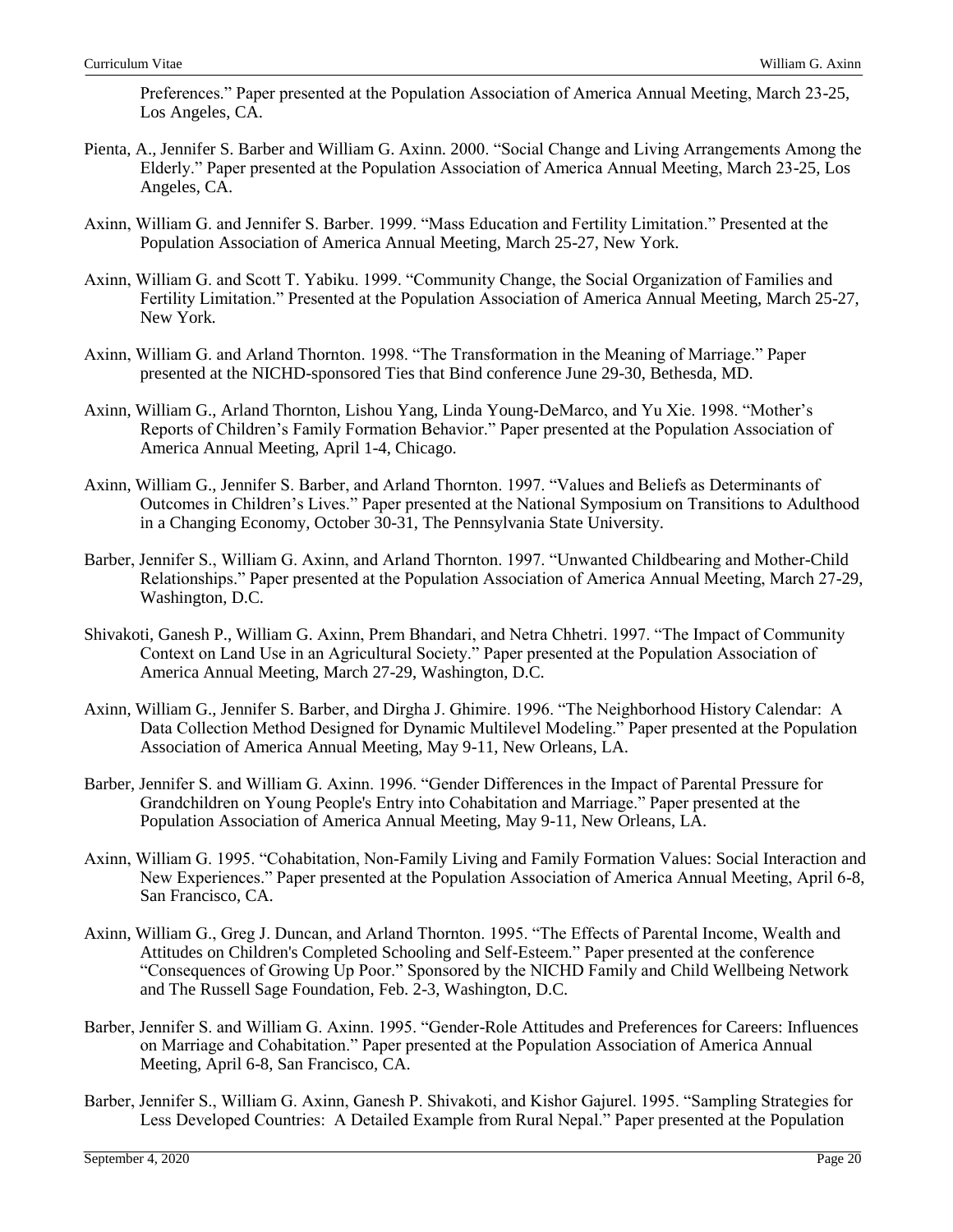Preferences." Paper presented at the Population Association of America Annual Meeting, March 23-25, Los Angeles, CA.

- Pienta, A., Jennifer S. Barber and William G. Axinn. 2000. "Social Change and Living Arrangements Among the Elderly." Paper presented at the Population Association of America Annual Meeting, March 23-25, Los Angeles, CA.
- Axinn, William G. and Jennifer S. Barber. 1999. "Mass Education and Fertility Limitation." Presented at the Population Association of America Annual Meeting, March 25-27, New York.
- Axinn, William G. and Scott T. Yabiku. 1999. "Community Change, the Social Organization of Families and Fertility Limitation." Presented at the Population Association of America Annual Meeting, March 25-27, New York.
- Axinn, William G. and Arland Thornton. 1998. "The Transformation in the Meaning of Marriage." Paper presented at the NICHD-sponsored Ties that Bind conference June 29-30, Bethesda, MD.
- Axinn, William G., Arland Thornton, Lishou Yang, Linda Young-DeMarco, and Yu Xie. 1998. "Mother's Reports of Children's Family Formation Behavior." Paper presented at the Population Association of America Annual Meeting, April 1-4, Chicago.
- Axinn, William G., Jennifer S. Barber, and Arland Thornton. 1997. "Values and Beliefs as Determinants of Outcomes in Children's Lives." Paper presented at the National Symposium on Transitions to Adulthood in a Changing Economy, October 30-31, The Pennsylvania State University.
- Barber, Jennifer S., William G. Axinn, and Arland Thornton. 1997. "Unwanted Childbearing and Mother-Child Relationships." Paper presented at the Population Association of America Annual Meeting, March 27-29, Washington, D.C.
- Shivakoti, Ganesh P., William G. Axinn, Prem Bhandari, and Netra Chhetri. 1997. "The Impact of Community Context on Land Use in an Agricultural Society." Paper presented at the Population Association of America Annual Meeting, March 27-29, Washington, D.C.
- Axinn, William G., Jennifer S. Barber, and Dirgha J. Ghimire. 1996. "The Neighborhood History Calendar: A Data Collection Method Designed for Dynamic Multilevel Modeling." Paper presented at the Population Association of America Annual Meeting, May 9-11, New Orleans, LA.
- Barber, Jennifer S. and William G. Axinn. 1996. "Gender Differences in the Impact of Parental Pressure for Grandchildren on Young People's Entry into Cohabitation and Marriage." Paper presented at the Population Association of America Annual Meeting, May 9-11, New Orleans, LA.
- Axinn, William G. 1995. "Cohabitation, Non-Family Living and Family Formation Values: Social Interaction and New Experiences." Paper presented at the Population Association of America Annual Meeting, April 6-8, San Francisco, CA.
- Axinn, William G., Greg J. Duncan, and Arland Thornton. 1995. "The Effects of Parental Income, Wealth and Attitudes on Children's Completed Schooling and Self-Esteem." Paper presented at the conference "Consequences of Growing Up Poor." Sponsored by the NICHD Family and Child Wellbeing Network and The Russell Sage Foundation, Feb. 2-3, Washington, D.C.
- Barber, Jennifer S. and William G. Axinn. 1995. "Gender-Role Attitudes and Preferences for Careers: Influences on Marriage and Cohabitation." Paper presented at the Population Association of America Annual Meeting, April 6-8, San Francisco, CA.
- Barber, Jennifer S., William G. Axinn, Ganesh P. Shivakoti, and Kishor Gajurel. 1995. "Sampling Strategies for Less Developed Countries: A Detailed Example from Rural Nepal." Paper presented at the Population